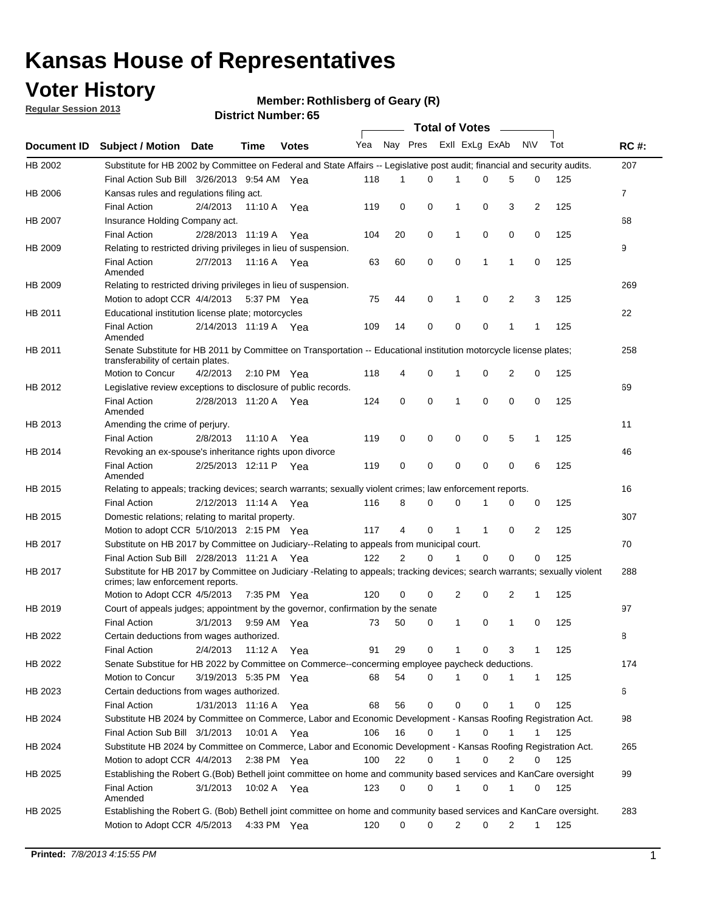## **Voter History**

**Member: Rothlisberg of Geary (R)** 

**Regular Session 2013**

|                    |                                                                                                                                                                |                       | טט השמוווטנו ועוווסו |              |              |                | Total of Votes __ |              |                |   |              |     |              |
|--------------------|----------------------------------------------------------------------------------------------------------------------------------------------------------------|-----------------------|----------------------|--------------|--------------|----------------|-------------------|--------------|----------------|---|--------------|-----|--------------|
| <b>Document ID</b> | <b>Subject / Motion Date</b>                                                                                                                                   |                       | <b>Time</b>          | <b>Votes</b> | Yea Nay Pres |                |                   |              | Exll ExLg ExAb |   | <b>NV</b>    | Tot | <b>RC#:</b>  |
| HB 2002            | Substitute for HB 2002 by Committee on Federal and State Affairs -- Legislative post audit; financial and security audits.                                     |                       |                      |              |              |                |                   |              |                |   |              |     | 207          |
|                    | Final Action Sub Bill 3/26/2013 9:54 AM Yea                                                                                                                    |                       |                      |              | 118          | 1              | $\Omega$          |              | 0              | 5 | 0            | 125 |              |
| HB 2006            | Kansas rules and regulations filing act.                                                                                                                       |                       |                      |              |              |                |                   |              |                |   |              |     | $\mathbf{7}$ |
|                    | <b>Final Action</b>                                                                                                                                            | 2/4/2013              | 11:10 A              | Yea          | 119          | 0              | 0                 | 1            | 0              | 3 | 2            | 125 |              |
| HB 2007            | Insurance Holding Company act.                                                                                                                                 |                       |                      |              |              |                |                   |              |                |   |              |     | 68           |
|                    | <b>Final Action</b>                                                                                                                                            | 2/28/2013 11:19 A     |                      | Yea          | 104          | 20             | 0                 | 1            | 0              | 0 | 0            | 125 |              |
| HB 2009            | Relating to restricted driving privileges in lieu of suspension.                                                                                               |                       |                      |              |              |                |                   |              |                |   |              |     | 9            |
|                    | <b>Final Action</b><br>Amended                                                                                                                                 | 2/7/2013              | 11:16 A Yea          |              | 63           | 60             | 0                 | 0            | 1              | 1 | 0            | 125 |              |
| HB 2009            | Relating to restricted driving privileges in lieu of suspension.                                                                                               |                       |                      |              |              |                |                   |              |                |   |              |     | 269          |
|                    | Motion to adopt CCR 4/4/2013                                                                                                                                   |                       | 5:37 PM Yea          |              | 75           | 44             | 0                 | 1            | 0              | 2 | 3            | 125 |              |
| HB 2011            | Educational institution license plate; motorcycles                                                                                                             |                       |                      |              |              |                |                   |              |                |   |              |     | 22           |
|                    | <b>Final Action</b><br>Amended                                                                                                                                 | 2/14/2013 11:19 A Yea |                      |              | 109          | 14             | 0                 | 0            | 0              | 1 | 1            | 125 |              |
| HB 2011            | Senate Substitute for HB 2011 by Committee on Transportation -- Educational institution motorcycle license plates;                                             |                       |                      |              |              |                |                   |              |                |   |              |     | 258          |
|                    | transferability of certain plates.                                                                                                                             |                       |                      |              |              |                |                   |              |                |   |              |     |              |
|                    | Motion to Concur                                                                                                                                               | 4/2/2013              | 2:10 PM $Yea$        |              | 118          | 4              | 0                 | 1            | 0              | 2 | 0            | 125 |              |
| HB 2012            | Legislative review exceptions to disclosure of public records.                                                                                                 |                       |                      |              |              |                |                   |              |                |   |              |     | 69           |
|                    | <b>Final Action</b><br>Amended                                                                                                                                 | 2/28/2013 11:20 A Yea |                      |              | 124          | 0              | 0                 | 1            | 0              | 0 | 0            | 125 |              |
| HB 2013            | Amending the crime of perjury.                                                                                                                                 |                       |                      |              |              |                |                   |              |                |   |              |     | 11           |
|                    | <b>Final Action</b>                                                                                                                                            | 2/8/2013              | 11:10 A              | Yea          | 119          | 0              | 0                 | 0            | 0              | 5 | 1            | 125 |              |
| HB 2014            | Revoking an ex-spouse's inheritance rights upon divorce                                                                                                        |                       |                      |              |              |                |                   |              |                |   |              |     | 46           |
|                    | <b>Final Action</b><br>Amended                                                                                                                                 | 2/25/2013 12:11 P Yea |                      |              | 119          | 0              | 0                 | 0            | 0              | 0 | 6            | 125 |              |
| HB 2015            | Relating to appeals; tracking devices; search warrants; sexually violent crimes; law enforcement reports.                                                      |                       |                      |              |              |                |                   |              |                |   |              |     | 16           |
|                    | <b>Final Action</b>                                                                                                                                            | 2/12/2013 11:14 A     |                      | Yea          | 116          | 8              | 0                 | 0            | 1              | 0 | 0            | 125 |              |
| HB 2015            | Domestic relations; relating to marital property.                                                                                                              |                       |                      |              |              |                |                   |              |                |   |              |     | 307          |
|                    | Motion to adopt CCR 5/10/2013 2:15 PM Yea                                                                                                                      |                       |                      |              | 117          | 4              | 0                 | 1            | $\mathbf{1}$   | 0 | 2            | 125 |              |
| HB 2017            | Substitute on HB 2017 by Committee on Judiciary--Relating to appeals from municipal court.                                                                     |                       |                      |              |              |                |                   |              |                |   |              |     | 70           |
|                    | Final Action Sub Bill 2/28/2013 11:21 A Yea                                                                                                                    |                       |                      |              | 122          | $\overline{2}$ | 0                 | 1            | 0              | 0 | 0            | 125 |              |
| HB 2017            | Substitute for HB 2017 by Committee on Judiciary -Relating to appeals; tracking devices; search warrants; sexually violent<br>crimes; law enforcement reports. |                       |                      |              |              |                |                   |              |                |   |              |     | 288          |
|                    | Motion to Adopt CCR 4/5/2013                                                                                                                                   |                       | 7:35 PM Yea          |              | 120          | 0              | 0                 | 2            | 0              | 2 | 1            | 125 |              |
| HB 2019            | Court of appeals judges; appointment by the governor, confirmation by the senate                                                                               |                       |                      |              |              |                |                   |              |                |   |              |     | 97           |
|                    | <b>Final Action</b>                                                                                                                                            | 3/1/2013              | 9:59 AM Yea          |              | 73           | 50             | 0                 | 1            | 0              | 1 | 0            | 125 |              |
| HB 2022            | Certain deductions from wages authorized.                                                                                                                      |                       |                      |              |              |                |                   |              |                |   |              |     | 8            |
|                    | <b>Final Action</b>                                                                                                                                            | 2/4/2013              | 11:12 A              | Yea          | 91           | 29             | 0                 |              | 0              | 3 | 1            | 125 |              |
| HB 2022            | Senate Substitue for HB 2022 by Committee on Commerce--concerming employee paycheck deductions.                                                                |                       |                      |              |              |                |                   |              |                |   |              |     | 174          |
|                    | Motion to Concur                                                                                                                                               | 3/19/2013 5:35 PM Yea |                      |              | 68           | 54             | 0                 | 1            | 0              | 1 | $\mathbf{1}$ | 125 |              |
| HB 2023            | Certain deductions from wages authorized.                                                                                                                      |                       |                      |              |              |                |                   |              |                |   |              |     | 6            |
|                    | <b>Final Action</b>                                                                                                                                            | 1/31/2013 11:16 A     |                      | Yea          | 68           | 56             | 0                 | 0            | 0              | 1 | 0            | 125 |              |
| HB 2024            | Substitute HB 2024 by Committee on Commerce, Labor and Economic Development - Kansas Roofing Registration Act.                                                 |                       |                      |              |              |                |                   |              |                |   |              |     | 98           |
|                    | Final Action Sub Bill 3/1/2013                                                                                                                                 |                       | 10:01 A Yea          |              | 106          | 16             | 0                 | $\mathbf{1}$ | 0              | 1 | 1            | 125 |              |
| HB 2024            | Substitute HB 2024 by Committee on Commerce, Labor and Economic Development - Kansas Roofing Registration Act.                                                 |                       |                      |              |              |                |                   |              |                |   |              |     | 265          |
|                    | Motion to adopt CCR 4/4/2013                                                                                                                                   |                       |                      |              | 100          | 22             | 0                 | $\mathbf{1}$ | 0              | 2 |              |     |              |
|                    |                                                                                                                                                                |                       | 2:38 PM $Yea$        |              |              |                |                   |              |                |   | 0            | 125 |              |
| HB 2025            | Establishing the Robert G.(Bob) Bethell joint committee on home and community based services and KanCare oversight                                             |                       |                      |              |              |                |                   |              |                |   |              |     | 99           |
|                    | <b>Final Action</b><br>Amended                                                                                                                                 | 3/1/2013              | 10:02 A Yea          |              | 123          | 0              | 0                 | 1            | 0              | 1 | 0            | 125 |              |
| HB 2025            | Establishing the Robert G. (Bob) Bethell joint committee on home and community based services and KanCare oversight.                                           |                       |                      |              |              |                |                   |              |                |   |              |     | 283          |
|                    | Motion to Adopt CCR 4/5/2013                                                                                                                                   |                       | 4:33 PM Yea          |              | 120          | 0              | 0                 | 2            | 0              | 2 | $\mathbf{1}$ | 125 |              |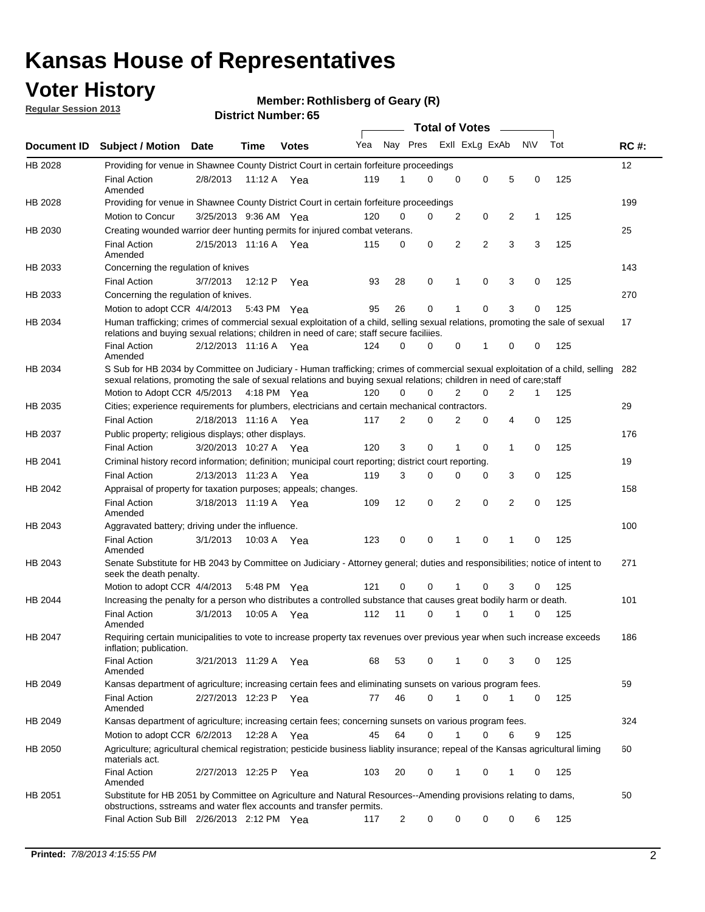## **Voter History**

**Member: Rothlisberg of Geary (R)** 

**Regular Session 2013**

|                |                                                                                                                                                                                                                                                        |                       |             |              |     |                         | <b>Total of Votes</b> |   |   |                |           |     |             |
|----------------|--------------------------------------------------------------------------------------------------------------------------------------------------------------------------------------------------------------------------------------------------------|-----------------------|-------------|--------------|-----|-------------------------|-----------------------|---|---|----------------|-----------|-----|-------------|
| Document ID    | <b>Subject / Motion</b>                                                                                                                                                                                                                                | Date                  | Time        | <b>Votes</b> | Yea | Nay Pres Exll ExLg ExAb |                       |   |   |                | <b>NV</b> | Tot | <b>RC#:</b> |
| HB 2028        | Providing for venue in Shawnee County District Court in certain forfeiture proceedings                                                                                                                                                                 |                       |             |              |     |                         |                       |   |   |                |           |     | 12          |
|                | <b>Final Action</b><br>Amended                                                                                                                                                                                                                         | 2/8/2013              | 11:12 A Yea |              | 119 | 1                       | $\Omega$              | 0 | 0 | 5              | 0         | 125 |             |
| HB 2028        | Providing for venue in Shawnee County District Court in certain forfeiture proceedings                                                                                                                                                                 |                       |             |              |     |                         |                       |   |   |                |           |     | 199         |
|                | Motion to Concur                                                                                                                                                                                                                                       | 3/25/2013 9:36 AM Yea |             |              | 120 | 0                       | 0                     | 2 | 0 | 2              | 1         | 125 |             |
| HB 2030        | Creating wounded warrior deer hunting permits for injured combat veterans.                                                                                                                                                                             |                       |             |              |     |                         |                       |   |   |                |           |     | 25          |
|                | <b>Final Action</b><br>Amended                                                                                                                                                                                                                         | 2/15/2013 11:16 A     |             | Yea          | 115 | 0                       | 0                     | 2 | 2 | 3              | 3         | 125 |             |
| HB 2033        | Concerning the regulation of knives                                                                                                                                                                                                                    |                       |             |              |     |                         |                       |   |   |                |           |     | 143         |
|                | <b>Final Action</b>                                                                                                                                                                                                                                    | 3/7/2013              | 12:12 P     | Yea          | 93  | 28                      | 0                     | 1 | 0 | 3              | 0         | 125 |             |
| HB 2033        | Concerning the regulation of knives.                                                                                                                                                                                                                   |                       |             |              |     |                         |                       |   |   |                |           |     | 270         |
|                | Motion to adopt CCR 4/4/2013                                                                                                                                                                                                                           |                       | 5:43 PM Yea |              | 95  | 26                      | 0                     |   | 0 | 3              | 0         | 125 |             |
| HB 2034        | Human trafficking; crimes of commercial sexual exploitation of a child, selling sexual relations, promoting the sale of sexual<br>relations and buying sexual relations; children in need of care; staff secure faciliies.                             |                       |             |              |     |                         |                       |   |   |                |           |     | 17          |
|                | <b>Final Action</b><br>Amended                                                                                                                                                                                                                         | 2/12/2013 11:16 A Yea |             |              | 124 | 0                       | 0                     | 0 | 1 | 0              | 0         | 125 |             |
| HB 2034        | S Sub for HB 2034 by Committee on Judiciary - Human trafficking; crimes of commercial sexual exploitation of a child, selling<br>sexual relations, promoting the sale of sexual relations and buying sexual relations; children in need of care; staff |                       |             |              |     |                         |                       |   |   |                |           |     | 282         |
|                | Motion to Adopt CCR 4/5/2013 4:18 PM Yea                                                                                                                                                                                                               |                       |             |              | 120 | 0                       | 0                     | 2 | 0 | $\overline{2}$ | 1         | 125 |             |
| HB 2035        | Cities; experience requirements for plumbers, electricians and certain mechanical contractors.                                                                                                                                                         |                       |             |              |     |                         |                       |   |   |                |           |     | 29          |
|                | <b>Final Action</b>                                                                                                                                                                                                                                    | 2/18/2013 11:16 A     |             | Yea          | 117 | 2                       | 0                     | 2 | 0 | 4              | 0         | 125 |             |
| HB 2037        | Public property; religious displays; other displays.                                                                                                                                                                                                   |                       |             |              |     |                         |                       |   |   |                |           |     | 176         |
|                | <b>Final Action</b>                                                                                                                                                                                                                                    | 3/20/2013 10:27 A Yea |             |              | 120 | 3                       | 0                     | 1 | 0 | 1              | 0         | 125 |             |
| HB 2041        | Criminal history record information; definition; municipal court reporting; district court reporting.                                                                                                                                                  |                       |             |              |     |                         |                       |   |   |                |           |     | 19          |
|                | <b>Final Action</b>                                                                                                                                                                                                                                    | 2/13/2013 11:23 A     |             | Yea          | 119 | 3                       | 0                     | 0 | 0 | 3              | 0         | 125 |             |
| HB 2042        | Appraisal of property for taxation purposes; appeals; changes.                                                                                                                                                                                         |                       |             |              |     |                         |                       |   |   |                |           |     | 158         |
|                | <b>Final Action</b><br>Amended                                                                                                                                                                                                                         | 3/18/2013 11:19 A     |             | Yea          | 109 | 12                      | 0                     | 2 | 0 | 2              | 0         | 125 |             |
| HB 2043        | Aggravated battery; driving under the influence.                                                                                                                                                                                                       |                       |             |              |     |                         |                       |   |   |                |           |     | 100         |
|                | <b>Final Action</b><br>Amended                                                                                                                                                                                                                         | 3/1/2013              | 10:03 A Yea |              | 123 | 0                       | 0                     | 1 | 0 | 1              | 0         | 125 |             |
| HB 2043        | Senate Substitute for HB 2043 by Committee on Judiciary - Attorney general; duties and responsibilities; notice of intent to<br>seek the death penalty.                                                                                                |                       |             |              |     |                         |                       |   |   |                |           |     | 271         |
|                | Motion to adopt CCR 4/4/2013                                                                                                                                                                                                                           |                       | 5:48 PM Yea |              | 121 | 0                       | 0                     |   | 0 | 3              | 0         | 125 |             |
| <b>HB 2044</b> | Increasing the penalty for a person who distributes a controlled substance that causes great bodily harm or death.                                                                                                                                     |                       |             |              |     |                         |                       |   |   |                |           |     | 101         |
|                | <b>Final Action</b><br>Amended                                                                                                                                                                                                                         | 3/1/2013              | 10:05 A     | Yea          | 112 | 11                      | $\Omega$              | 1 | 0 | 1              | 0         | 125 |             |
| HB 2047        | Requiring certain municipalities to vote to increase property tax revenues over previous year when such increase exceeds<br>inflation; publication.                                                                                                    |                       |             |              |     |                         |                       |   |   |                |           |     | 186         |
|                | <b>Final Action</b><br>Amended                                                                                                                                                                                                                         | 3/21/2013 11:29 A Yea |             |              | 68  | 53                      | 0                     |   | 0 | 3              | 0         | 125 |             |
| HB 2049        | Kansas department of agriculture; increasing certain fees and eliminating sunsets on various program fees.                                                                                                                                             |                       |             |              |     |                         |                       |   |   |                |           |     | 59          |
|                | <b>Final Action</b><br>Amended                                                                                                                                                                                                                         | 2/27/2013 12:23 P Yea |             |              | 77  | 46                      | 0                     |   | 0 |                | 0         | 125 |             |
| HB 2049        | Kansas department of agriculture; increasing certain fees; concerning sunsets on various program fees.                                                                                                                                                 |                       |             |              |     |                         |                       |   |   |                |           |     | 324         |
|                | Motion to adopt CCR 6/2/2013                                                                                                                                                                                                                           |                       | 12:28 A     | Yea          | 45  | 64                      | 0                     | 1 | 0 | 6              | 9         | 125 |             |
| HB 2050        | Agriculture; agricultural chemical registration; pesticide business liablity insurance; repeal of the Kansas agricultural liming<br>materials act.                                                                                                     |                       |             |              |     |                         |                       |   |   |                |           |     | 60          |
|                | <b>Final Action</b><br>Amended                                                                                                                                                                                                                         | 2/27/2013 12:25 P     |             | Yea          | 103 | 20                      | 0                     | 1 | 0 | 1              | 0         | 125 |             |
| HB 2051        | Substitute for HB 2051 by Committee on Agriculture and Natural Resources--Amending provisions relating to dams,<br>obstructions, sstreams and water flex accounts and transfer permits.                                                                |                       |             |              |     |                         |                       |   |   |                |           |     | 50          |
|                | Final Action Sub Bill 2/26/2013 2:12 PM Yea                                                                                                                                                                                                            |                       |             |              | 117 | 2                       | 0                     | 0 | 0 | 0              | 6         | 125 |             |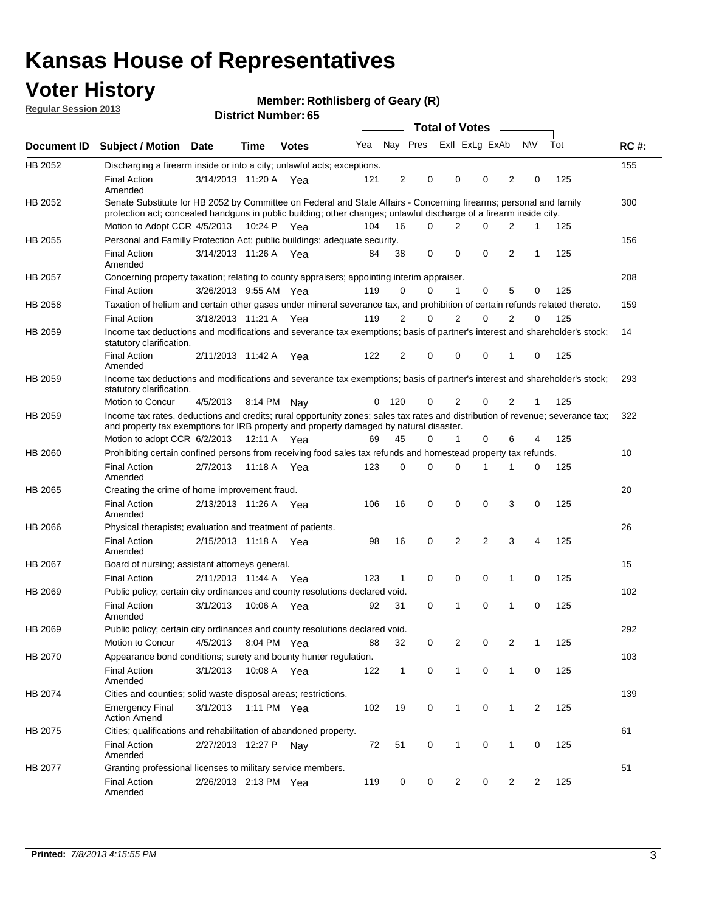## **Voter History**

**Member: Rothlisberg of Geary (R)** 

**Regular Session 2013**

|                |                                                                                                                                                                                                                                          |                       |             | טט . וסעווואדו או ווסוע |     |                |                             | <b>Total of Votes</b> | $\sim$   |                |           |     |             |
|----------------|------------------------------------------------------------------------------------------------------------------------------------------------------------------------------------------------------------------------------------------|-----------------------|-------------|-------------------------|-----|----------------|-----------------------------|-----------------------|----------|----------------|-----------|-----|-------------|
| Document ID    | <b>Subject / Motion</b>                                                                                                                                                                                                                  | Date                  | <b>Time</b> | <b>Votes</b>            |     |                | Yea Nay Pres ExII ExLg ExAb |                       |          |                | <b>NV</b> | Tot | <b>RC#:</b> |
| HB 2052        | Discharging a firearm inside or into a city; unlawful acts; exceptions.                                                                                                                                                                  |                       |             |                         |     |                |                             |                       |          |                |           |     | 155         |
|                | <b>Final Action</b><br>Amended                                                                                                                                                                                                           | 3/14/2013 11:20 A Yea |             |                         | 121 | 2              | 0                           | 0                     | $\Omega$ | $\overline{2}$ | 0         | 125 |             |
| HB 2052        | Senate Substitute for HB 2052 by Committee on Federal and State Affairs - Concerning firearms; personal and family<br>protection act; concealed handguns in public building; other changes; unlawful discharge of a firearm inside city. |                       |             |                         |     |                |                             |                       |          |                |           |     | 300         |
|                | Motion to Adopt CCR 4/5/2013                                                                                                                                                                                                             |                       | 10:24 P Yea |                         | 104 | 16             | 0                           | 2                     | $\Omega$ | 2              | 1         | 125 |             |
| HB 2055        | Personal and Familly Protection Act; public buildings; adequate security.                                                                                                                                                                |                       |             |                         |     |                |                             |                       |          |                |           |     | 156         |
|                | <b>Final Action</b><br>Amended                                                                                                                                                                                                           | 3/14/2013 11:26 A     |             | Yea                     | 84  | 38             | 0                           | 0                     | 0        | $\overline{2}$ | 1         | 125 |             |
| HB 2057        | Concerning property taxation; relating to county appraisers; appointing interim appraiser.                                                                                                                                               |                       |             |                         |     |                |                             |                       |          |                |           |     | 208         |
|                | <b>Final Action</b>                                                                                                                                                                                                                      | 3/26/2013 9:55 AM Yea |             |                         | 119 | 0              | 0                           | 1                     | 0        | 5              | 0         | 125 |             |
| HB 2058        | Taxation of helium and certain other gases under mineral severance tax, and prohibition of certain refunds related thereto.                                                                                                              |                       |             |                         |     |                |                             |                       |          |                |           |     | 159         |
|                | <b>Final Action</b>                                                                                                                                                                                                                      | 3/18/2013 11:21 A Yea |             |                         | 119 | 2              | 0                           | 2                     | $\Omega$ | 2              | $\Omega$  | 125 |             |
| HB 2059        | Income tax deductions and modifications and severance tax exemptions; basis of partner's interest and shareholder's stock;<br>statutory clarification.                                                                                   |                       |             |                         |     |                |                             |                       |          |                |           |     | 14          |
|                | <b>Final Action</b><br>Amended                                                                                                                                                                                                           | 2/11/2013 11:42 A     |             | Yea                     | 122 | $\overline{2}$ | 0                           | 0                     | 0        | 1              | 0         | 125 |             |
| HB 2059        | Income tax deductions and modifications and severance tax exemptions; basis of partner's interest and shareholder's stock;<br>statutory clarification.                                                                                   |                       |             |                         |     |                |                             |                       |          |                |           |     | 293         |
|                | Motion to Concur                                                                                                                                                                                                                         | 4/5/2013              |             | 8:14 PM Nay             | 0   | 120            | 0                           | $\overline{2}$        | 0        | $\overline{2}$ | 1         | 125 |             |
| HB 2059        | Income tax rates, deductions and credits; rural opportunity zones; sales tax rates and distribution of revenue; severance tax;<br>and property tax exemptions for IRB property and property damaged by natural disaster.                 |                       |             |                         |     |                |                             |                       |          |                |           |     | 322         |
|                | Motion to adopt CCR 6/2/2013                                                                                                                                                                                                             |                       |             | 12:11 A Yea             | 69  | 45             | 0                           | $\mathbf{1}$          | 0        | 6              | 4         | 125 |             |
| <b>HB 2060</b> | Prohibiting certain confined persons from receiving food sales tax refunds and homestead property tax refunds.                                                                                                                           |                       |             |                         |     |                |                             |                       |          |                |           |     | 10          |
|                | <b>Final Action</b><br>Amended                                                                                                                                                                                                           | 2/7/2013              | 11:18 A     | Yea                     | 123 | $\mathbf 0$    | 0                           | $\Omega$              | 1        | 1              | 0         | 125 |             |
| HB 2065        | Creating the crime of home improvement fraud.                                                                                                                                                                                            |                       |             |                         |     |                |                             |                       |          |                |           |     | 20          |
|                | <b>Final Action</b><br>Amended                                                                                                                                                                                                           | 2/13/2013 11:26 A Yea |             |                         | 106 | 16             | 0                           | 0                     | 0        | 3              | 0         | 125 |             |
| <b>HB 2066</b> | Physical therapists; evaluation and treatment of patients.                                                                                                                                                                               |                       |             |                         |     |                |                             |                       |          |                |           |     | 26          |
|                | <b>Final Action</b><br>Amended                                                                                                                                                                                                           | 2/15/2013 11:18 A Yea |             |                         | 98  | 16             | $\mathbf 0$                 | $\overline{2}$        | 2        | 3              | 4         | 125 |             |
| HB 2067        | Board of nursing; assistant attorneys general.                                                                                                                                                                                           |                       |             |                         |     |                |                             |                       |          |                |           |     | 15          |
|                | <b>Final Action</b>                                                                                                                                                                                                                      | 2/11/2013 11:44 A Yea |             |                         | 123 | $\mathbf{1}$   | 0                           | 0                     | 0        | 1              | 0         | 125 |             |
| HB 2069        | Public policy; certain city ordinances and county resolutions declared void.                                                                                                                                                             |                       |             |                         |     |                |                             |                       |          |                |           |     | 102         |
|                | <b>Final Action</b><br>Amended                                                                                                                                                                                                           | 3/1/2013              | 10:06 A     | Yea                     | 92  | 31             | $\Omega$                    | 1                     | 0        | 1              | 0         | 125 |             |
| HB 2069        | Public policy; certain city ordinances and county resolutions declared void.                                                                                                                                                             |                       |             |                         |     |                |                             |                       |          |                |           |     | 292         |
|                | Motion to Concur                                                                                                                                                                                                                         | 4/5/2013              |             | 8:04 PM Yea             | 88  | 32             | 0                           | 2                     | 0        | 2              | 1         | 125 |             |
| HB 2070        | Appearance bond conditions; surety and bounty hunter regulation.                                                                                                                                                                         |                       |             |                         |     |                |                             |                       |          |                |           |     | 103         |
|                | <b>Final Action</b><br>Amended                                                                                                                                                                                                           | 3/1/2013              |             | 10:08 A Yea             | 122 | $\mathbf{1}$   | 0                           | $\mathbf 1$           | 0        | $\mathbf{1}$   | 0         | 125 |             |
| HB 2074        | Cities and counties; solid waste disposal areas; restrictions.                                                                                                                                                                           |                       |             |                         |     |                |                             |                       |          |                |           |     | 139         |
|                | <b>Emergency Final</b><br><b>Action Amend</b>                                                                                                                                                                                            | 3/1/2013              |             | 1:11 PM Yea             | 102 | 19             | 0                           | 1                     | 0        | $\mathbf{1}$   | 2         | 125 |             |
| HB 2075        | Cities; qualifications and rehabilitation of abandoned property.                                                                                                                                                                         |                       |             |                         |     |                |                             |                       |          |                |           |     | 61          |
|                | <b>Final Action</b><br>Amended                                                                                                                                                                                                           | 2/27/2013 12:27 P     |             | Nav                     | 72  | 51             | 0                           | 1                     | 0        | 1              | 0         | 125 |             |
| HB 2077        | Granting professional licenses to military service members.<br><b>Final Action</b>                                                                                                                                                       | 2/26/2013 2:13 PM Yea |             |                         | 119 | 0              | 0                           | 2                     | 0        | 2              | 2         | 125 | 51          |
|                | Amended                                                                                                                                                                                                                                  |                       |             |                         |     |                |                             |                       |          |                |           |     |             |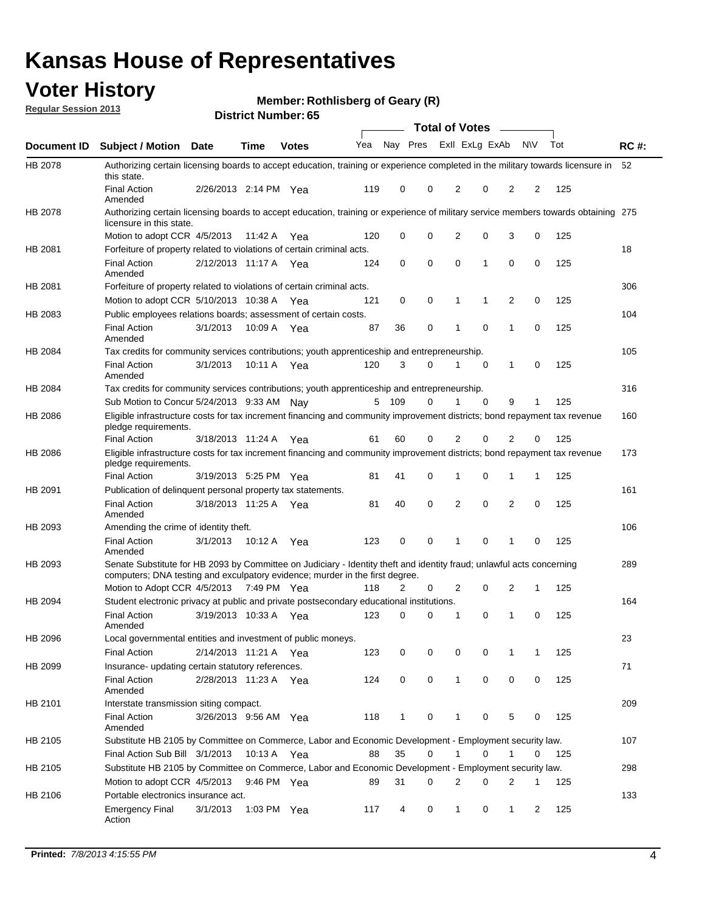## **Voter History**

**Member: Rothlisberg of Geary (R)** 

**Regular Session 2013**

|                |                                                                                                                                                                                                       |                       |             |              |     |              |             | <b>Total of Votes</b> |   | $\sim$ |           |     |             |
|----------------|-------------------------------------------------------------------------------------------------------------------------------------------------------------------------------------------------------|-----------------------|-------------|--------------|-----|--------------|-------------|-----------------------|---|--------|-----------|-----|-------------|
| Document ID    | <b>Subject / Motion Date</b>                                                                                                                                                                          |                       | Time        | <b>Votes</b> | Yea | Nay Pres     |             | Exll ExLg ExAb        |   |        | <b>NV</b> | Tot | <b>RC#:</b> |
| HB 2078        | Authorizing certain licensing boards to accept education, training or experience completed in the military towards licensure in 52<br>this state.                                                     |                       |             |              |     |              |             |                       |   |        |           |     |             |
|                | <b>Final Action</b><br>Amended                                                                                                                                                                        | 2/26/2013 2:14 PM Yea |             |              | 119 | 0            | 0           | 2                     | 0 | 2      | 2         | 125 |             |
| HB 2078        | Authorizing certain licensing boards to accept education, training or experience of military service members towards obtaining 275<br>licensure in this state.                                        |                       |             |              |     |              |             |                       |   |        |           |     |             |
|                | Motion to adopt CCR 4/5/2013                                                                                                                                                                          |                       | 11:42 A     | Yea          | 120 | 0            | 0           | 2                     | 0 | 3      | 0         | 125 |             |
| HB 2081        | Forfeiture of property related to violations of certain criminal acts.                                                                                                                                |                       |             |              |     |              |             |                       |   |        |           |     | 18          |
|                | <b>Final Action</b><br>Amended                                                                                                                                                                        | 2/12/2013 11:17 A Yea |             |              | 124 | 0            | $\mathbf 0$ | 0                     | 1 | 0      | 0         | 125 |             |
| HB 2081        | Forfeiture of property related to violations of certain criminal acts.                                                                                                                                |                       |             |              |     |              |             |                       |   |        |           |     | 306         |
|                | Motion to adopt CCR 5/10/2013 10:38 A                                                                                                                                                                 |                       |             | Yea          | 121 | 0            | 0           | 1                     | 1 | 2      | 0         | 125 |             |
| HB 2083        | Public employees relations boards; assessment of certain costs.                                                                                                                                       |                       |             |              |     |              |             |                       |   |        |           |     | 104         |
|                | <b>Final Action</b><br>Amended                                                                                                                                                                        | 3/1/2013              | 10:09 A     | Yea          | 87  | 36           | 0           | 1                     | 0 | 1      | 0         | 125 |             |
| HB 2084        | Tax credits for community services contributions; youth apprenticeship and entrepreneurship.                                                                                                          |                       |             |              |     |              |             |                       |   |        |           |     | 105         |
|                | <b>Final Action</b><br>Amended                                                                                                                                                                        | 3/1/2013              | 10:11 A Yea |              | 120 | 3            | $\Omega$    | 1                     | 0 | 1      | 0         | 125 |             |
| HB 2084        | Tax credits for community services contributions; youth apprenticeship and entrepreneurship.                                                                                                          |                       |             |              |     |              |             |                       |   |        |           |     | 316         |
|                | Sub Motion to Concur 5/24/2013 9:33 AM                                                                                                                                                                |                       |             | Nav          | 5   | 109          | 0           |                       | 0 | 9      | 1         | 125 |             |
| HB 2086        | Eligible infrastructure costs for tax increment financing and community improvement districts; bond repayment tax revenue<br>pledge requirements.                                                     |                       |             |              |     |              |             |                       |   |        |           |     | 160         |
|                | <b>Final Action</b>                                                                                                                                                                                   | 3/18/2013 11:24 A     |             | Yea          | 61  | 60           | 0           | 2                     | 0 | 2      | 0         | 125 |             |
| HB 2086        | Eligible infrastructure costs for tax increment financing and community improvement districts; bond repayment tax revenue<br>pledge requirements.                                                     |                       |             |              |     |              |             |                       |   |        |           |     | 173         |
|                | <b>Final Action</b>                                                                                                                                                                                   | 3/19/2013 5:25 PM Yea |             |              | 81  | 41           | 0           | 1                     | 0 | 1      | 1         | 125 |             |
| HB 2091        | Publication of delinquent personal property tax statements.                                                                                                                                           |                       |             |              |     |              |             |                       |   |        |           |     | 161         |
|                | <b>Final Action</b><br>Amended                                                                                                                                                                        | 3/18/2013 11:25 A Yea |             |              | 81  | 40           | 0           | 2                     | 0 | 2      | 0         | 125 |             |
| HB 2093        | Amending the crime of identity theft.                                                                                                                                                                 |                       |             |              |     |              |             |                       |   |        |           |     | 106         |
|                | <b>Final Action</b><br>Amended                                                                                                                                                                        | 3/1/2013              | 10:12 A     | Yea          | 123 | 0            | 0           | 1                     | 0 | 1      | 0         | 125 |             |
| HB 2093        | Senate Substitute for HB 2093 by Committee on Judiciary - Identity theft and identity fraud; unlawful acts concerning<br>computers; DNA testing and exculpatory evidence; murder in the first degree. |                       |             |              |     |              |             |                       |   |        |           |     | 289         |
|                | Motion to Adopt CCR 4/5/2013 7:49 PM Yea                                                                                                                                                              |                       |             |              | 118 | 2            | 0           | 2                     | 0 | 2      | 1         | 125 |             |
| HB 2094        | Student electronic privacy at public and private postsecondary educational institutions.                                                                                                              |                       |             |              |     |              |             |                       |   |        |           |     | 164         |
|                | <b>Final Action</b><br>Amended                                                                                                                                                                        | 3/19/2013 10:33 A Yea |             |              | 123 | 0            | 0           |                       | 0 | 1      | 0         | 125 |             |
| <b>HB 2096</b> | Local governmental entities and investment of public moneys.                                                                                                                                          |                       |             |              |     |              |             |                       |   |        |           |     | 23          |
|                | Final Action                                                                                                                                                                                          | 2/14/2013 11:21 A Yea |             |              | 123 | 0            | 0           | 0                     | 0 |        | 1         | 125 |             |
| HB 2099        | Insurance- updating certain statutory references.                                                                                                                                                     |                       |             |              |     |              |             |                       |   |        |           |     | 71          |
|                | <b>Final Action</b><br>Amended                                                                                                                                                                        | 2/28/2013 11:23 A Yea |             |              | 124 | 0            | 0           | $\mathbf{1}$          | 0 | 0      | 0         | 125 |             |
| HB 2101        | Interstate transmission siting compact.                                                                                                                                                               |                       |             |              |     |              |             |                       |   |        |           |     | 209         |
|                | Final Action<br>Amended                                                                                                                                                                               | 3/26/2013 9:56 AM Yea |             |              | 118 | $\mathbf{1}$ | 0           | 1                     | 0 | 5      | 0         | 125 |             |
| HB 2105        | Substitute HB 2105 by Committee on Commerce, Labor and Economic Development - Employment security law.                                                                                                |                       |             |              |     |              |             |                       |   |        |           |     | 107         |
|                | Final Action Sub Bill 3/1/2013                                                                                                                                                                        |                       |             | 10:13 A Yea  | 88  | 35           | 0           | 1                     | 0 | 1      | 0         | 125 |             |
| HB 2105        | Substitute HB 2105 by Committee on Commerce, Labor and Economic Development - Employment security law.                                                                                                |                       |             |              |     |              |             |                       |   |        |           |     | 298         |
|                | Motion to adopt CCR 4/5/2013                                                                                                                                                                          |                       |             | 9:46 PM Yea  | 89  | 31           | 0           | 2                     | 0 | 2      | 1         | 125 |             |
| HB 2106        | Portable electronics insurance act.                                                                                                                                                                   |                       |             |              |     |              |             |                       |   |        |           |     | 133         |
|                | Emergency Final<br>Action                                                                                                                                                                             | 3/1/2013              |             | 1:03 PM Yea  | 117 | 4            | 0           | 1                     | 0 | 1      | 2         | 125 |             |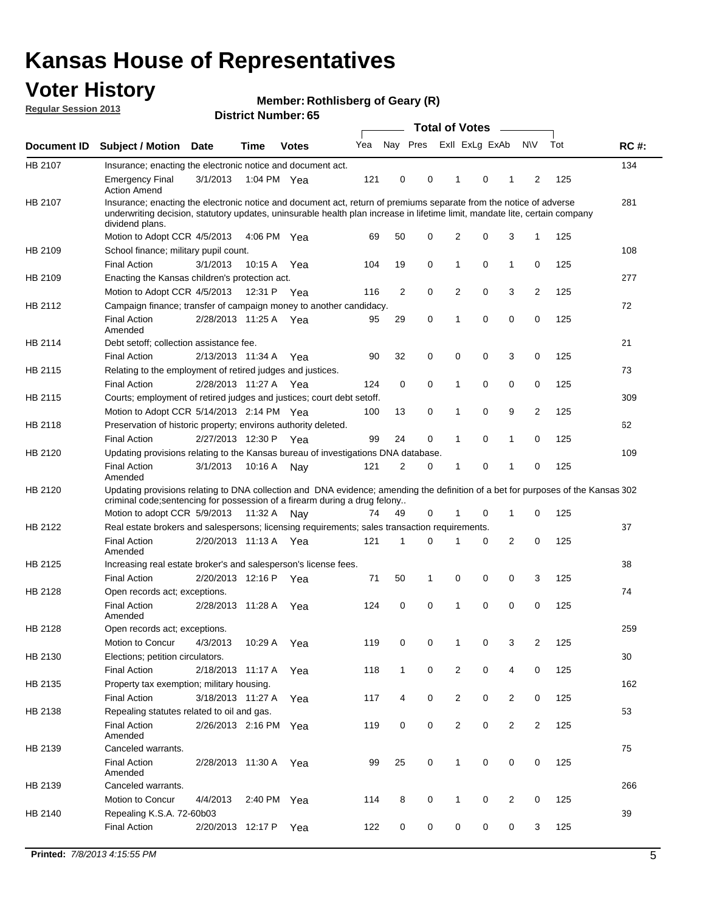## **Voter History**

**Member: Rothlisberg of Geary (R)** 

**Regular Session 2013**

|             |                                                                                                                                                                                                                                                                      |                       |             | טט וסמוווטנו ואווווט |     |                |             | <b>Total of Votes</b> |   | $\sim$         |                |     |             |
|-------------|----------------------------------------------------------------------------------------------------------------------------------------------------------------------------------------------------------------------------------------------------------------------|-----------------------|-------------|----------------------|-----|----------------|-------------|-----------------------|---|----------------|----------------|-----|-------------|
| Document ID | <b>Subject / Motion Date</b>                                                                                                                                                                                                                                         |                       | <b>Time</b> | <b>Votes</b>         | Yea | Nay Pres       |             | Exll ExLg ExAb        |   |                | <b>NV</b>      | Tot | <b>RC#:</b> |
| HB 2107     | Insurance; enacting the electronic notice and document act.                                                                                                                                                                                                          |                       |             |                      |     |                |             |                       |   |                |                |     | 134         |
|             | <b>Emergency Final</b><br><b>Action Amend</b>                                                                                                                                                                                                                        | 3/1/2013              | 1:04 PM Yea |                      | 121 | 0              | 0           | 1                     | 0 | 1              | 2              | 125 |             |
| HB 2107     | Insurance; enacting the electronic notice and document act, return of premiums separate from the notice of adverse<br>underwriting decision, statutory updates, uninsurable health plan increase in lifetime limit, mandate lite, certain company<br>dividend plans. |                       |             |                      |     |                |             |                       |   |                |                |     | 281         |
|             | Motion to Adopt CCR 4/5/2013                                                                                                                                                                                                                                         |                       | 4:06 PM Yea |                      | 69  | 50             | 0           | 2                     | 0 | 3              | $\mathbf{1}$   | 125 |             |
| HB 2109     | School finance; military pupil count.                                                                                                                                                                                                                                |                       |             |                      |     |                |             |                       |   |                |                |     | 108         |
|             | <b>Final Action</b>                                                                                                                                                                                                                                                  | 3/1/2013              | 10:15A      | Yea                  | 104 | 19             | 0           | 1                     | 0 | $\mathbf{1}$   | 0              | 125 |             |
| HB 2109     | Enacting the Kansas children's protection act.                                                                                                                                                                                                                       |                       |             |                      |     |                |             |                       |   |                |                |     | 277         |
|             | Motion to Adopt CCR 4/5/2013                                                                                                                                                                                                                                         |                       | 12:31 P     | Yea                  | 116 | $\overline{2}$ | 0           | 2                     | 0 | 3              | $\overline{2}$ | 125 |             |
| HB 2112     | Campaign finance; transfer of campaign money to another candidacy.                                                                                                                                                                                                   |                       |             |                      |     |                |             |                       |   |                |                |     | 72          |
|             | <b>Final Action</b><br>Amended                                                                                                                                                                                                                                       | 2/28/2013 11:25 A Yea |             |                      | 95  | 29             | 0           | 1                     | 0 | 0              | 0              | 125 |             |
| HB 2114     | Debt setoff; collection assistance fee.                                                                                                                                                                                                                              |                       |             |                      |     |                |             |                       |   |                |                |     | 21          |
|             | <b>Final Action</b>                                                                                                                                                                                                                                                  | 2/13/2013 11:34 A     |             | Yea                  | 90  | 32             | 0           | 0                     | 0 | 3              | 0              | 125 |             |
| HB 2115     | Relating to the employment of retired judges and justices.                                                                                                                                                                                                           |                       |             |                      |     |                |             |                       |   |                |                |     | 73          |
|             | <b>Final Action</b>                                                                                                                                                                                                                                                  | 2/28/2013 11:27 A     |             | Yea                  | 124 | 0              | $\mathbf 0$ | 1                     | 0 | 0              | 0              | 125 |             |
| HB 2115     | Courts; employment of retired judges and justices; court debt setoff.                                                                                                                                                                                                |                       |             |                      |     |                |             |                       |   |                |                |     | 309         |
|             | Motion to Adopt CCR 5/14/2013 2:14 PM Yea                                                                                                                                                                                                                            |                       |             |                      | 100 | 13             | 0           | 1                     | 0 | 9              | $\overline{2}$ | 125 |             |
| HB 2118     | Preservation of historic property; environs authority deleted.                                                                                                                                                                                                       |                       |             |                      |     |                |             |                       |   |                |                |     | 62          |
|             | <b>Final Action</b>                                                                                                                                                                                                                                                  | 2/27/2013 12:30 P     |             | Yea                  | 99  | 24             | 0           | 1                     | 0 | $\mathbf{1}$   | 0              | 125 |             |
| HB 2120     | Updating provisions relating to the Kansas bureau of investigations DNA database.                                                                                                                                                                                    |                       |             |                      |     |                |             |                       |   |                |                |     | 109         |
|             | <b>Final Action</b><br>Amended                                                                                                                                                                                                                                       | 3/1/2013              | 10:16 A     | Nay                  | 121 | 2              | 0           | 1                     | 0 | 1              | 0              | 125 |             |
| HB 2120     | Updating provisions relating to DNA collection and DNA evidence; amending the definition of a bet for purposes of the Kansas 302<br>criminal code; sentencing for possession of a firearm during a drug felony                                                       |                       |             |                      |     |                |             |                       |   |                |                |     |             |
|             | Motion to adopt CCR 5/9/2013 11:32 A Nay                                                                                                                                                                                                                             |                       |             |                      | 74  | 49             | 0           |                       | 0 | 1              | 0              | 125 |             |
| HB 2122     | Real estate brokers and salespersons; licensing requirements; sales transaction requirements.                                                                                                                                                                        |                       |             |                      |     |                |             |                       |   |                |                |     | 37          |
|             | <b>Final Action</b><br>Amended                                                                                                                                                                                                                                       | 2/20/2013 11:13 A Yea |             |                      | 121 | 1              | $\Omega$    |                       | 0 | 2              | 0              | 125 |             |
| HB 2125     | Increasing real estate broker's and salesperson's license fees.                                                                                                                                                                                                      |                       |             |                      |     |                |             |                       |   |                |                |     | 38          |
|             | <b>Final Action</b>                                                                                                                                                                                                                                                  | 2/20/2013 12:16 P     |             | Yea                  | 71  | 50             | 1           | 0                     | 0 | 0              | 3              | 125 |             |
| HB 2128     | Open records act; exceptions.                                                                                                                                                                                                                                        |                       |             |                      |     |                |             |                       |   |                |                |     | 74          |
|             | <b>Final Action</b><br>Amended                                                                                                                                                                                                                                       | 2/28/2013 11:28 A     |             | Yea                  | 124 | 0              | 0           | 1                     | 0 | 0              | 0              | 125 |             |
| HB 2128     | Open records act; exceptions.                                                                                                                                                                                                                                        |                       |             |                      |     |                |             |                       |   |                |                |     | 259         |
|             | Motion to Concur                                                                                                                                                                                                                                                     | 4/3/2013              | 10:29 A     | Yea                  | 119 | 0              | 0           | 1                     | 0 | 3              | $\overline{2}$ | 125 |             |
| HB 2130     | Elections; petition circulators.                                                                                                                                                                                                                                     |                       |             |                      |     |                |             |                       |   |                |                |     | 30          |
|             | <b>Final Action</b>                                                                                                                                                                                                                                                  | 2/18/2013 11:17 A     |             | Yea                  | 118 | $\mathbf{1}$   | 0           | $\overline{c}$        | 0 | 4              | 0              | 125 |             |
| HB 2135     | Property tax exemption; military housing.                                                                                                                                                                                                                            |                       |             |                      |     |                |             |                       |   |                |                |     | 162         |
|             | <b>Final Action</b>                                                                                                                                                                                                                                                  | 3/18/2013 11:27 A     |             | Yea                  | 117 | 4              | 0           | $\overline{c}$        | 0 | $\overline{2}$ | 0              | 125 |             |
| HB 2138     | Repealing statutes related to oil and gas.                                                                                                                                                                                                                           |                       |             |                      |     |                |             |                       |   |                |                |     | 53          |
|             | <b>Final Action</b><br>Amended                                                                                                                                                                                                                                       | 2/26/2013 2:16 PM Yea |             |                      | 119 | 0              | 0           | 2                     | 0 | $\overline{2}$ | $\overline{2}$ | 125 |             |
| HB 2139     | Canceled warrants.                                                                                                                                                                                                                                                   |                       |             |                      |     |                |             |                       |   |                |                |     | 75          |
|             | <b>Final Action</b><br>Amended                                                                                                                                                                                                                                       | 2/28/2013 11:30 A     |             | Yea                  | 99  | 25             | 0           | 1                     | 0 | 0              | 0              | 125 |             |
| HB 2139     | Canceled warrants.                                                                                                                                                                                                                                                   |                       |             |                      |     |                |             |                       |   |                |                |     | 266         |
|             | Motion to Concur                                                                                                                                                                                                                                                     | 4/4/2013              | 2:40 PM     | Yea                  | 114 | 8              | 0           | 1                     | 0 | 2              | 0              | 125 |             |
| HB 2140     | Repealing K.S.A. 72-60b03                                                                                                                                                                                                                                            |                       |             |                      |     |                |             |                       |   |                |                |     | 39          |
|             | <b>Final Action</b>                                                                                                                                                                                                                                                  | 2/20/2013 12:17 P     |             | Yea                  | 122 | 0              | 0           | 0                     | 0 | 0              | 3              | 125 |             |
|             |                                                                                                                                                                                                                                                                      |                       |             |                      |     |                |             |                       |   |                |                |     |             |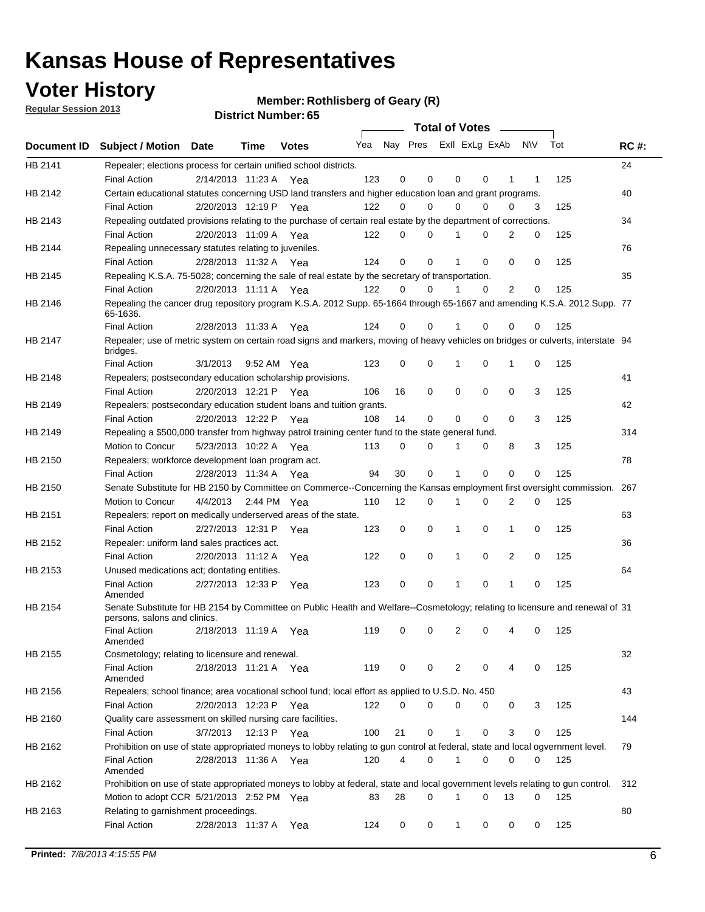## **Voter History**

**Member: Rothlisberg of Geary (R)** 

**Regular Session 2013**

|             |                                                                                                                                              |                       |                       |              |     |    | <b>Total of Votes</b>   |              |   | $\overline{\phantom{0}}$ |     |     |             |
|-------------|----------------------------------------------------------------------------------------------------------------------------------------------|-----------------------|-----------------------|--------------|-----|----|-------------------------|--------------|---|--------------------------|-----|-----|-------------|
| Document ID | <b>Subject / Motion Date</b>                                                                                                                 |                       | Time                  | <b>Votes</b> | Yea |    | Nay Pres Exll ExLg ExAb |              |   |                          | N\V | Tot | <b>RC#:</b> |
| HB 2141     | Repealer; elections process for certain unified school districts.                                                                            |                       |                       |              |     |    |                         |              |   |                          |     |     | 24          |
|             | <b>Final Action</b>                                                                                                                          | 2/14/2013 11:23 A     |                       | Yea          | 123 | 0  | 0                       | 0            | 0 | 1                        | 1   | 125 |             |
| HB 2142     | Certain educational statutes concerning USD land transfers and higher education loan and grant programs.                                     |                       |                       |              |     |    |                         |              |   |                          |     |     | 40          |
|             | <b>Final Action</b>                                                                                                                          | 2/20/2013 12:19 P     |                       | Yea          | 122 | 0  | 0                       | 0            | 0 | 0                        | 3   | 125 |             |
| HB 2143     | Repealing outdated provisions relating to the purchase of certain real estate by the department of corrections.                              |                       |                       |              |     |    |                         |              |   |                          |     |     | 34          |
|             | <b>Final Action</b>                                                                                                                          |                       | 2/20/2013 11:09 A     | Yea          | 122 | 0  | 0                       |              | 0 | 2                        | 0   | 125 |             |
| HB 2144     | Repealing unnecessary statutes relating to juveniles.                                                                                        |                       |                       |              |     |    |                         |              |   |                          |     |     | 76          |
|             | <b>Final Action</b>                                                                                                                          |                       | 2/28/2013 11:32 A Yea |              | 124 | 0  | 0                       |              | 0 | 0                        | 0   | 125 |             |
| HB 2145     | Repealing K.S.A. 75-5028; concerning the sale of real estate by the secretary of transportation.                                             |                       |                       |              |     |    |                         |              |   |                          |     |     | 35          |
|             | <b>Final Action</b>                                                                                                                          | 2/20/2013 11:11 A Yea |                       |              | 122 | 0  | 0                       |              | 0 | 2                        | 0   | 125 |             |
| HB 2146     | Repealing the cancer drug repository program K.S.A. 2012 Supp. 65-1664 through 65-1667 and amending K.S.A. 2012 Supp. 77<br>65-1636.         |                       |                       |              |     |    |                         |              |   |                          |     |     |             |
|             | <b>Final Action</b>                                                                                                                          |                       | 2/28/2013 11:33 A     | Yea          | 124 | 0  | 0                       |              | 0 | 0                        | 0   | 125 |             |
| HB 2147     | Repealer; use of metric system on certain road signs and markers, moving of heavy vehicles on bridges or culverts, interstate 94<br>bridges. |                       |                       |              |     |    |                         |              |   |                          |     |     |             |
|             | <b>Final Action</b>                                                                                                                          | 3/1/2013              |                       | 9:52 AM Yea  | 123 | 0  | 0                       | 1            | 0 | 1                        | 0   | 125 |             |
| HB 2148     | Repealers; postsecondary education scholarship provisions.                                                                                   |                       |                       |              |     |    |                         |              |   |                          |     |     | 41          |
|             | <b>Final Action</b>                                                                                                                          | 2/20/2013 12:21 P Yea |                       |              | 106 | 16 | 0                       | 0            | 0 | 0                        | 3   | 125 |             |
| HB 2149     | Repealers; postsecondary education student loans and tuition grants.                                                                         |                       |                       |              |     |    |                         |              |   |                          |     |     | 42          |
|             | <b>Final Action</b>                                                                                                                          |                       | 2/20/2013 12:22 P     | Yea          | 108 | 14 | 0                       | 0            | 0 | $\Omega$                 | 3   | 125 |             |
| HB 2149     | Repealing a \$500,000 transfer from highway patrol training center fund to the state general fund.                                           |                       |                       |              |     |    |                         |              |   |                          |     |     | 314         |
|             | Motion to Concur                                                                                                                             |                       | 5/23/2013 10:22 A Yea |              | 113 | 0  | 0                       |              | 0 | 8                        | 3   | 125 |             |
| HB 2150     | Repealers; workforce development loan program act.                                                                                           |                       |                       |              |     |    |                         |              |   |                          |     |     | 78          |
|             | <b>Final Action</b>                                                                                                                          |                       | 2/28/2013 11:34 A Yea |              | 94  | 30 | 0                       | 1            | 0 | 0                        | 0   | 125 |             |
| HB 2150     | Senate Substitute for HB 2150 by Committee on Commerce--Concerning the Kansas employment first oversight commission.                         |                       |                       |              |     |    |                         |              |   |                          |     |     | 267         |
|             | Motion to Concur                                                                                                                             | 4/4/2013              |                       | 2:44 PM Yea  | 110 | 12 | 0                       | 1            | 0 | 2                        | 0   | 125 |             |
| HB 2151     | Repealers; report on medically underserved areas of the state.                                                                               |                       |                       |              |     |    |                         |              |   |                          |     |     | 63          |
|             | <b>Final Action</b>                                                                                                                          |                       | 2/27/2013 12:31 P     | Yea          | 123 | 0  | 0                       | 1            | 0 | 1                        | 0   | 125 |             |
| HB 2152     | Repealer: uniform land sales practices act.                                                                                                  |                       |                       |              |     |    |                         |              |   |                          |     |     | 36          |
|             | <b>Final Action</b>                                                                                                                          |                       | 2/20/2013 11:12 A     | Yea          | 122 | 0  | 0                       | 1            | 0 | 2                        | 0   | 125 |             |
| HB 2153     | Unused medications act; dontating entities.                                                                                                  |                       |                       |              |     |    |                         |              |   |                          |     |     | 64          |
|             | <b>Final Action</b><br>Amended                                                                                                               | 2/27/2013 12:33 P     |                       | Yea          | 123 | 0  | 0                       | 1            | 0 | 1                        | 0   | 125 |             |
| HB 2154     | Senate Substitute for HB 2154 by Committee on Public Health and Welfare--Cosmetology; relating to licensure and renewal of 31                |                       |                       |              |     |    |                         |              |   |                          |     |     |             |
|             | persons, salons and clinics.                                                                                                                 |                       |                       |              |     |    |                         |              |   |                          |     |     |             |
|             | <b>Final Action</b><br>Amended                                                                                                               |                       | 2/18/2013 11:19 A     | Yea          | 119 | 0  | 0                       | 2            | 0 | 4                        | 0   | 125 |             |
| HB 2155     | Cosmetology; relating to licensure and renewal.                                                                                              |                       |                       |              |     |    |                         |              |   |                          |     |     | 32          |
|             | <b>Final Action</b>                                                                                                                          |                       | 2/18/2013 11:21 A Yea |              | 119 | 0  | 0                       | 2            | 0 | 4                        | 0   | 125 |             |
|             | Amended                                                                                                                                      |                       |                       |              |     |    |                         |              |   |                          |     |     |             |
| HB 2156     | Repealers; school finance; area vocational school fund; local effort as applied to U.S.D. No. 450                                            |                       |                       |              |     |    |                         |              |   |                          |     |     | 43          |
|             | <b>Final Action</b>                                                                                                                          | 2/20/2013 12:23 P Yea |                       |              | 122 | 0  | $\Omega$                | 0            | 0 | 0                        | 3   | 125 |             |
| HB 2160     | Quality care assessment on skilled nursing care facilities.                                                                                  |                       |                       |              |     |    |                         |              |   |                          |     |     | 144         |
|             | <b>Final Action</b>                                                                                                                          | 3/7/2013              |                       | 12:13 P Yea  | 100 | 21 | 0                       | 1            | 0 | 3                        | 0   | 125 |             |
| HB 2162     | Prohibition on use of state appropriated moneys to lobby relating to gun control at federal, state and local ogvernment level.               |                       |                       |              |     |    |                         |              |   |                          |     |     | 79          |
|             | <b>Final Action</b><br>Amended                                                                                                               |                       | 2/28/2013 11:36 A Yea |              | 120 | 4  | 0                       | 1            | 0 | 0                        | 0   | 125 |             |
| HB 2162     | Prohibition on use of state appropriated moneys to lobby at federal, state and local government levels relating to gun control.              |                       |                       |              |     |    |                         |              |   |                          |     |     | 312         |
|             | Motion to adopt CCR 5/21/2013 2:52 PM Yea                                                                                                    |                       |                       |              | 83  | 28 | 0                       | 1            | 0 | 13                       | 0   | 125 |             |
| HB 2163     | Relating to garnishment proceedings.                                                                                                         |                       |                       |              |     |    |                         |              |   |                          |     |     | 80          |
|             | <b>Final Action</b>                                                                                                                          |                       | 2/28/2013 11:37 A Yea |              | 124 | 0  | 0                       | $\mathbf{1}$ | 0 | 0                        | 0   | 125 |             |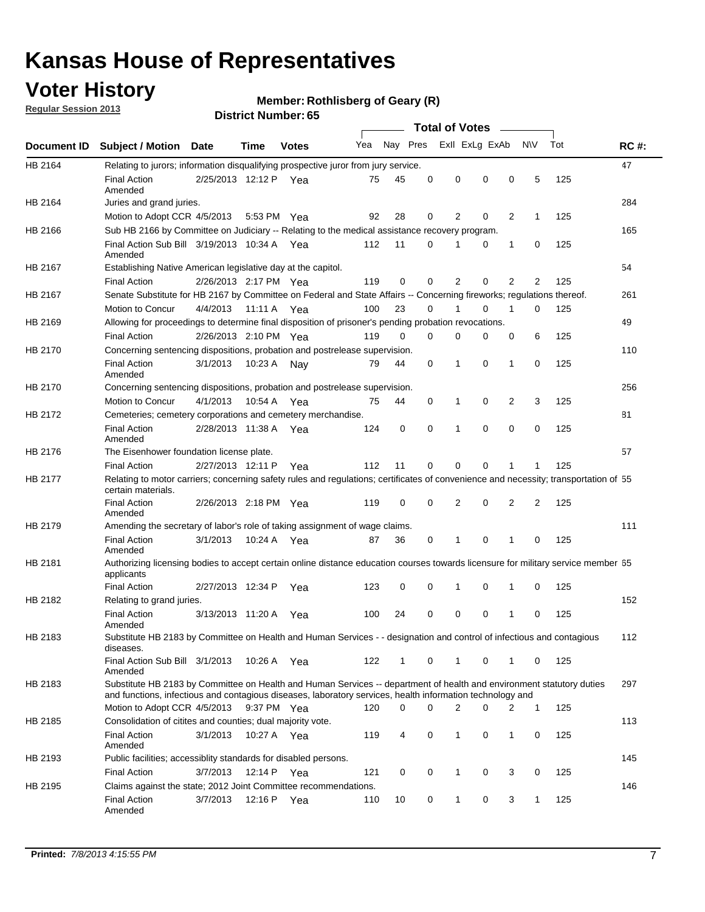## **Voter History**

**Member: Rothlisberg of Geary (R)** 

**Regular Session 2013**

|             |                                                                                                                                                                                                                                    |                       |             |              |     |          |             | <b>Total of Votes</b> |                |                |                |                |     |             |
|-------------|------------------------------------------------------------------------------------------------------------------------------------------------------------------------------------------------------------------------------------|-----------------------|-------------|--------------|-----|----------|-------------|-----------------------|----------------|----------------|----------------|----------------|-----|-------------|
| Document ID | <b>Subject / Motion Date</b>                                                                                                                                                                                                       |                       | Time        | <b>Votes</b> | Yea |          | Nay Pres    |                       |                | Exll ExLg ExAb |                | N\V            | Tot | <b>RC#:</b> |
| HB 2164     | Relating to jurors; information disqualifying prospective juror from jury service.                                                                                                                                                 |                       |             |              |     |          |             |                       |                |                |                |                |     | 47          |
|             | <b>Final Action</b><br>Amended                                                                                                                                                                                                     | 2/25/2013 12:12 P Yea |             |              | 75  | 45       | 0           | 0                     |                | 0              | 0              | 5              | 125 |             |
| HB 2164     | Juries and grand juries.                                                                                                                                                                                                           |                       |             |              |     |          |             |                       |                |                |                |                |     | 284         |
|             | Motion to Adopt CCR 4/5/2013                                                                                                                                                                                                       |                       | 5:53 PM Yea |              | 92  | 28       | 0           | 2                     |                | 0              | 2              | 1              | 125 |             |
| HB 2166     | Sub HB 2166 by Committee on Judiciary -- Relating to the medical assistance recovery program.                                                                                                                                      |                       |             |              |     |          |             |                       |                |                |                |                |     | 165         |
|             | Final Action Sub Bill 3/19/2013 10:34 A Yea<br>Amended                                                                                                                                                                             |                       |             |              | 112 | 11       | 0           | 1                     |                | 0              | 1              | 0              | 125 |             |
| HB 2167     | Establishing Native American legislative day at the capitol.                                                                                                                                                                       |                       |             |              |     |          |             |                       |                |                |                |                |     | 54          |
|             | <b>Final Action</b>                                                                                                                                                                                                                | 2/26/2013 2:17 PM Yea |             |              | 119 | 0        | 0           | $\overline{2}$        |                | 0              | $\overline{2}$ | $\overline{2}$ | 125 |             |
| HB 2167     | Senate Substitute for HB 2167 by Committee on Federal and State Affairs -- Concerning fireworks; regulations thereof.                                                                                                              |                       |             |              |     |          |             |                       |                |                |                |                |     | 261         |
|             | Motion to Concur                                                                                                                                                                                                                   | 4/4/2013 11:11 A Yea  |             |              | 100 | 23       | 0           | 1                     |                | $\Omega$       | 1              | $\Omega$       | 125 |             |
| HB 2169     | Allowing for proceedings to determine final disposition of prisoner's pending probation revocations.                                                                                                                               |                       |             |              |     |          |             |                       |                |                |                |                |     | 49          |
|             | <b>Final Action</b>                                                                                                                                                                                                                | 2/26/2013 2:10 PM Yea |             |              | 119 | $\Omega$ | $\Omega$    | $\Omega$              |                | 0              | 0              | 6              | 125 |             |
| HB 2170     | Concerning sentencing dispositions, probation and postrelease supervision.                                                                                                                                                         |                       |             |              |     |          |             |                       |                |                |                |                |     | 110         |
|             | <b>Final Action</b><br>Amended                                                                                                                                                                                                     | 3/1/2013              | 10:23 A Nay |              | 79  | 44       | 0           | $\mathbf{1}$          |                | 0              | $\mathbf{1}$   | 0              | 125 |             |
| HB 2170     | Concerning sentencing dispositions, probation and postrelease supervision.                                                                                                                                                         |                       |             |              |     |          |             |                       |                |                |                |                |     | 256         |
|             | Motion to Concur                                                                                                                                                                                                                   | 4/1/2013              | 10:54 A     | Yea          | 75  | 44       | 0           | 1                     |                | 0              | $\overline{2}$ | 3              | 125 |             |
| HB 2172     | Cemeteries; cemetery corporations and cemetery merchandise.                                                                                                                                                                        |                       |             |              |     |          |             |                       |                |                |                |                |     | 81          |
|             | <b>Final Action</b><br>Amended                                                                                                                                                                                                     | 2/28/2013 11:38 A     |             | Yea          | 124 | 0        | 0           | $\mathbf{1}$          |                | 0              | $\mathbf 0$    | 0              | 125 |             |
| HB 2176     | The Eisenhower foundation license plate.                                                                                                                                                                                           |                       |             |              |     |          |             |                       |                |                |                |                |     | 57          |
|             | <b>Final Action</b>                                                                                                                                                                                                                | 2/27/2013 12:11 P     |             | Yea          | 112 | 11       | 0           | 0                     |                | 0              |                | 1              | 125 |             |
| HB 2177     | Relating to motor carriers; concerning safety rules and regulations; certificates of convenience and necessity; transportation of 55<br>certain materials.                                                                         |                       |             |              |     |          |             |                       |                |                |                |                |     |             |
|             | <b>Final Action</b><br>Amended                                                                                                                                                                                                     | 2/26/2013 2:18 PM Yea |             |              | 119 | 0        | $\mathbf 0$ | $\overline{2}$        |                | 0              | 2              | 2              | 125 |             |
| HB 2179     | Amending the secretary of labor's role of taking assignment of wage claims.                                                                                                                                                        |                       |             |              |     |          |             |                       |                |                |                |                |     | 111         |
|             | <b>Final Action</b><br>Amended                                                                                                                                                                                                     | 3/1/2013              | 10:24 A Yea |              | 87  | 36       | 0           | 1                     |                | 0              | 1              | 0              | 125 |             |
| HB 2181     | Authorizing licensing bodies to accept certain online distance education courses towards licensure for military service member 55<br>applicants                                                                                    |                       |             |              |     |          |             |                       |                |                |                |                |     |             |
|             | <b>Final Action</b>                                                                                                                                                                                                                | 2/27/2013 12:34 P     |             | Yea          | 123 | 0        | 0           | 1                     |                | 0              | $\mathbf 1$    | 0              | 125 |             |
| HB 2182     | Relating to grand juries.                                                                                                                                                                                                          |                       |             |              |     |          |             |                       |                |                |                |                |     | 152         |
|             | <b>Final Action</b><br>Amended                                                                                                                                                                                                     | 3/13/2013 11:20 A     |             | Yea          | 100 | 24       | 0           | 0                     |                | 0              | 1              | 0              | 125 |             |
| HB 2183     | Substitute HB 2183 by Committee on Health and Human Services - - designation and control of infectious and contagious<br>diseases.                                                                                                 |                       |             |              |     |          |             |                       |                |                |                |                |     | 112         |
|             | Final Action Sub Bill 3/1/2013<br>Amended                                                                                                                                                                                          |                       | 10:26 A Yea |              | 122 | 1        | 0           | $\mathbf{1}$          |                | 0              | $\mathbf{1}$   | 0              | 125 |             |
| HB 2183     | Substitute HB 2183 by Committee on Health and Human Services -- department of health and environment statutory duties<br>and functions, infectious and contagious diseases, laboratory services, health information technology and |                       |             |              |     |          |             |                       |                |                |                |                |     | 297         |
|             | Motion to Adopt CCR 4/5/2013 9:37 PM Yea                                                                                                                                                                                           |                       |             |              | 120 | 0        | 0           |                       | $\overline{2}$ | 0              | 2              | $\mathbf{1}$   | 125 |             |
| HB 2185     | Consolidation of citites and counties; dual majority vote.                                                                                                                                                                         |                       |             |              |     |          |             |                       |                |                |                |                |     | 113         |
|             | <b>Final Action</b><br>Amended                                                                                                                                                                                                     | 3/1/2013              | 10:27 A Yea |              | 119 | 4        | 0           | $\mathbf{1}$          |                | 0              | $\mathbf{1}$   | 0              | 125 |             |
| HB 2193     | Public facilities; accessiblity standards for disabled persons.                                                                                                                                                                    |                       |             |              |     |          |             |                       |                |                |                |                |     | 145         |
|             | <b>Final Action</b>                                                                                                                                                                                                                | 3/7/2013              | 12:14 P Yea |              | 121 | 0        | 0           | 1                     |                | 0              | 3              | 0              | 125 |             |
| HB 2195     | Claims against the state; 2012 Joint Committee recommendations.                                                                                                                                                                    |                       |             |              |     |          |             |                       |                |                |                |                |     | 146         |
|             | <b>Final Action</b><br>Amended                                                                                                                                                                                                     | 3/7/2013              | 12:16 P Yea |              | 110 | 10       | 0           | $\mathbf{1}$          |                | 0              | 3              | $\mathbf{1}$   | 125 |             |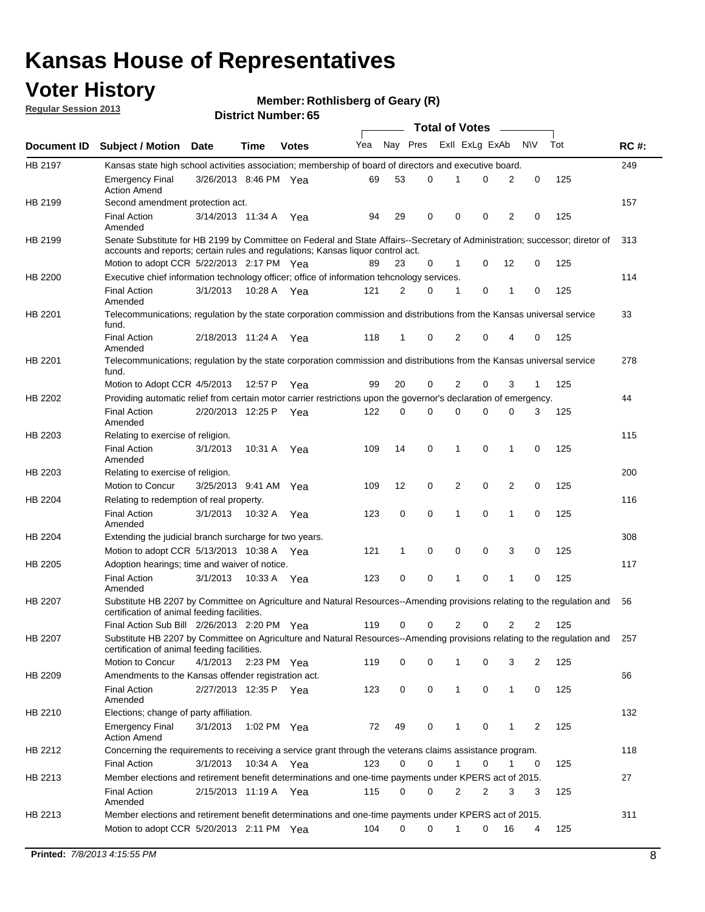## **Voter History**

**Member: Rothlisberg of Geary (R)** 

**Regular Session 2013**

|                |                                                                                                                                                                         |                       |             |              |     |          |             | <b>Total of Votes</b> |             |                |             |     |             |
|----------------|-------------------------------------------------------------------------------------------------------------------------------------------------------------------------|-----------------------|-------------|--------------|-----|----------|-------------|-----------------------|-------------|----------------|-------------|-----|-------------|
| Document ID    | <b>Subject / Motion Date</b>                                                                                                                                            |                       | Time        | <b>Votes</b> | Yea | Nay Pres |             | Exll ExLg ExAb        |             |                | N\V         | Tot | <b>RC#:</b> |
| HB 2197        | Kansas state high school activities association; membership of board of directors and executive board.                                                                  |                       |             |              |     |          |             |                       |             |                |             |     | 249         |
|                | <b>Emergency Final</b><br><b>Action Amend</b>                                                                                                                           | 3/26/2013 8:46 PM Yea |             |              | 69  | 53       | 0           | 1                     | 0           | 2              | 0           | 125 |             |
| HB 2199        | Second amendment protection act.                                                                                                                                        |                       |             |              |     |          |             |                       |             |                |             |     | 157         |
|                | <b>Final Action</b><br>Amended                                                                                                                                          | 3/14/2013 11:34 A     |             | Yea          | 94  | 29       | 0           | 0                     | 0           | 2              | 0           | 125 |             |
| HB 2199        | Senate Substitute for HB 2199 by Committee on Federal and State Affairs--Secretary of Administration; successor; diretor of                                             |                       |             |              |     |          |             |                       |             |                |             |     | 313         |
|                | accounts and reports; certain rules and regulations; Kansas liquor control act.                                                                                         |                       |             |              |     |          |             |                       |             |                |             |     |             |
|                | Motion to adopt CCR 5/22/2013 2:17 PM Yea                                                                                                                               |                       |             |              | 89  | 23       | 0           | 1                     | 0           | 12             | 0           | 125 |             |
| HB 2200        | Executive chief information technology officer; office of information tehcnology services.                                                                              |                       |             |              |     |          |             |                       |             |                |             |     | 114         |
|                | <b>Final Action</b><br>Amended                                                                                                                                          | 3/1/2013              | 10:28 A     | Yea          | 121 | 2        | 0           | 1                     | 0           | 1              | 0           | 125 |             |
| HB 2201        | Telecommunications; regulation by the state corporation commission and distributions from the Kansas universal service<br>fund.                                         |                       |             |              |     |          |             |                       |             |                |             |     | 33          |
|                | <b>Final Action</b><br>Amended                                                                                                                                          | 2/18/2013 11:24 A     |             | Yea          | 118 | 1        | 0           | 2                     | 0           | 4              | 0           | 125 |             |
| HB 2201        | Telecommunications; regulation by the state corporation commission and distributions from the Kansas universal service<br>fund.                                         |                       |             |              |     |          |             |                       |             |                |             |     | 278         |
|                | Motion to Adopt CCR 4/5/2013                                                                                                                                            |                       | 12:57 P     | Yea          | 99  | 20       | 0           | 2                     | 0           | 3              | 1           | 125 |             |
| HB 2202        | Providing automatic relief from certain motor carrier restrictions upon the governor's declaration of emergency.                                                        |                       |             |              |     |          |             |                       |             |                |             |     | 44          |
|                | <b>Final Action</b><br>Amended                                                                                                                                          | 2/20/2013 12:25 P     |             | Yea          | 122 | 0        | 0           | 0                     | 0           | 0              | 3           | 125 |             |
| HB 2203        | Relating to exercise of religion.                                                                                                                                       |                       |             |              |     |          |             |                       |             |                |             |     | 115         |
|                | <b>Final Action</b><br>Amended                                                                                                                                          | 3/1/2013              | 10:31 A     | Yea          | 109 | 14       | 0           | 1                     | 0           | 1              | 0           | 125 |             |
| HB 2203        | Relating to exercise of religion.                                                                                                                                       |                       |             |              |     |          |             |                       |             |                |             |     | 200         |
|                | Motion to Concur                                                                                                                                                        | 3/25/2013 9:41 AM Yea |             |              | 109 | 12       | 0           | 2                     | $\mathbf 0$ | $\overline{2}$ | 0           | 125 |             |
| HB 2204        | Relating to redemption of real property.                                                                                                                                |                       |             |              |     |          |             |                       |             |                |             |     | 116         |
|                | <b>Final Action</b><br>Amended                                                                                                                                          | 3/1/2013              | 10:32 A     | Yea          | 123 | 0        | $\mathbf 0$ | 1                     | 0           | 1              | $\mathbf 0$ | 125 |             |
| HB 2204        | Extending the judicial branch surcharge for two years.                                                                                                                  |                       |             |              |     |          |             |                       |             |                |             |     | 308         |
|                | Motion to adopt CCR 5/13/2013 10:38 A                                                                                                                                   |                       |             | Yea          | 121 | 1        | 0           | 0                     | 0           | 3              | 0           | 125 |             |
| HB 2205        | Adoption hearings; time and waiver of notice.                                                                                                                           |                       |             |              |     |          |             |                       |             |                |             |     | 117         |
|                | <b>Final Action</b><br>Amended                                                                                                                                          | 3/1/2013              | 10:33 A     | Yea          | 123 | 0        | 0           | 1                     | 0           | 1              | 0           | 125 |             |
| HB 2207        | Substitute HB 2207 by Committee on Agriculture and Natural Resources--Amending provisions relating to the regulation and<br>certification of animal feeding facilities. |                       |             |              |     |          |             |                       |             |                |             |     | 56          |
|                | Final Action Sub Bill 2/26/2013 2:20 PM Yea                                                                                                                             |                       |             |              | 119 | 0        | 0           | $\overline{2}$        | 0           | 2              | 2           | 125 |             |
| <b>HB 2207</b> | Substitute HB 2207 by Committee on Agriculture and Natural Resources--Amending provisions relating to the regulation and<br>certification of animal feeding facilities. |                       |             |              |     |          |             |                       |             |                |             |     | 257         |
|                | Motion to Concur                                                                                                                                                        | 4/1/2013              | 2:23 PM Yea |              | 119 | 0        | 0           | 1                     | 0           | 3              | 2           | 125 |             |
| HB 2209        | Amendments to the Kansas offender registration act.                                                                                                                     |                       |             |              |     |          |             |                       |             |                |             |     | 66          |
|                | Final Action<br>Amended                                                                                                                                                 | 2/27/2013 12:35 P Yea |             |              | 123 | 0        | 0           | $\mathbf{1}$          | 0           | $\mathbf{1}$   | 0           | 125 |             |
| HB 2210        | Elections; change of party affiliation.                                                                                                                                 |                       |             |              |     |          |             |                       |             |                |             |     | 132         |
|                | <b>Emergency Final</b><br><b>Action Amend</b>                                                                                                                           | 3/1/2013              | 1:02 PM Yea |              | 72  | 49       | 0           | 1                     | 0           | 1              | 2           | 125 |             |
| HB 2212        | Concerning the requirements to receiving a service grant through the veterans claims assistance program.                                                                |                       |             |              |     |          |             |                       |             |                |             |     | 118         |
|                | <b>Final Action</b>                                                                                                                                                     | 3/1/2013              | 10:34 A Yea |              | 123 | 0        | 0           | $\mathbf{1}$          | 0           | 1              | 0           | 125 |             |
| HB 2213        | Member elections and retirement benefit determinations and one-time payments under KPERS act of 2015.                                                                   |                       |             |              |     |          |             |                       |             |                |             |     | 27          |
|                | <b>Final Action</b><br>Amended                                                                                                                                          | 2/15/2013 11:19 A Yea |             |              | 115 | 0        | 0           | 2                     | 2           | 3              | 3           | 125 |             |
| HB 2213        | Member elections and retirement benefit determinations and one-time payments under KPERS act of 2015.                                                                   |                       |             |              |     |          |             |                       |             |                |             |     | 311         |
|                | Motion to adopt CCR 5/20/2013 2:11 PM Yea                                                                                                                               |                       |             |              | 104 | 0        | 0           | 1                     | 0           | 16             | 4           | 125 |             |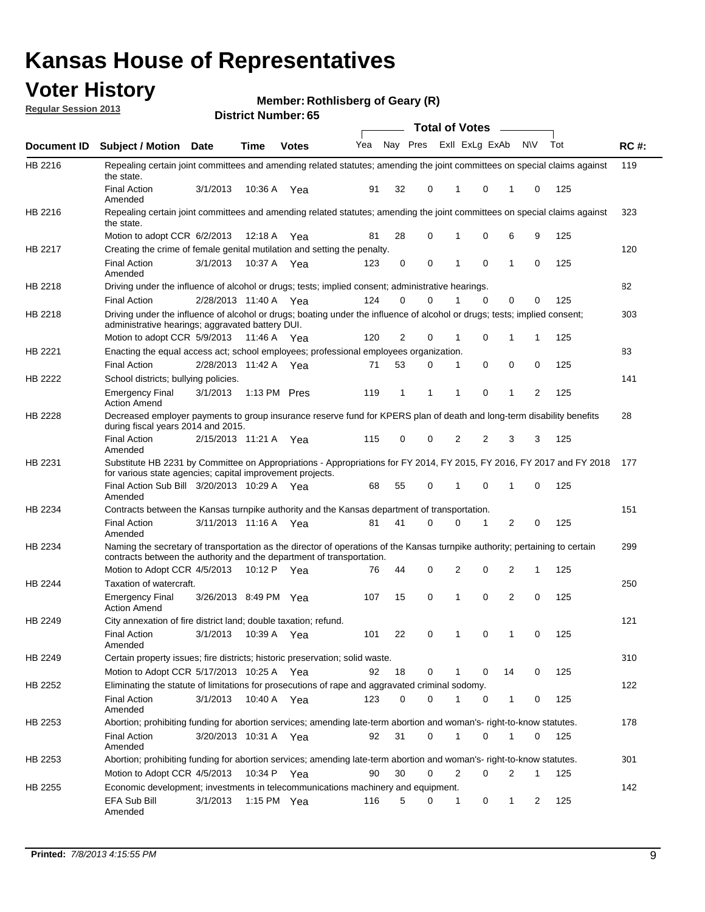## **Voter History**

**Member: Rothlisberg of Geary (R)** 

**Regular Session 2013**

|                    |                                                                                                                                                                                                       |                       |             | טט , וסעווווטרו ועו ווכוש |                             |              |          |              | <b>Total of Votes</b> | $\sim$         |     |     |             |
|--------------------|-------------------------------------------------------------------------------------------------------------------------------------------------------------------------------------------------------|-----------------------|-------------|---------------------------|-----------------------------|--------------|----------|--------------|-----------------------|----------------|-----|-----|-------------|
| <b>Document ID</b> | <b>Subject / Motion</b>                                                                                                                                                                               | Date                  | Time        | <b>Votes</b>              | Yea Nay Pres ExII ExLg ExAb |              |          |              |                       |                | N\V | Tot | <b>RC#:</b> |
| HB 2216            | Repealing certain joint committees and amending related statutes; amending the joint committees on special claims against<br>the state.                                                               |                       |             |                           |                             |              |          |              |                       |                |     |     | 119         |
|                    | <b>Final Action</b><br>Amended                                                                                                                                                                        | 3/1/2013              | 10:36 A     | Yea                       | 91                          | 32           | 0        | 1            | 0                     | 1              | 0   | 125 |             |
| HB 2216            | Repealing certain joint committees and amending related statutes; amending the joint committees on special claims against<br>the state.                                                               |                       |             |                           |                             |              |          |              |                       |                |     |     | 323         |
|                    | Motion to adopt CCR 6/2/2013                                                                                                                                                                          |                       | 12:18 A     | Yea                       | 81                          | 28           | 0        | 1            | 0                     | 6              | 9   | 125 |             |
| HB 2217            | Creating the crime of female genital mutilation and setting the penalty.                                                                                                                              |                       |             |                           |                             |              |          |              |                       |                |     |     | 120         |
|                    | <b>Final Action</b><br>Amended                                                                                                                                                                        | 3/1/2013              |             | 10:37 A Yea               | 123                         | 0            | 0        | 1            | $\mathbf 0$           | $\mathbf{1}$   | 0   | 125 |             |
| HB 2218            | Driving under the influence of alcohol or drugs; tests; implied consent; administrative hearings.                                                                                                     |                       |             |                           |                             |              |          |              |                       |                |     |     | 82          |
|                    | <b>Final Action</b>                                                                                                                                                                                   | 2/28/2013 11:40 A Yea |             |                           | 124                         | 0            | 0        | 1            | $\Omega$              | 0              | 0   | 125 |             |
| HB 2218            | Driving under the influence of alcohol or drugs; boating under the influence of alcohol or drugs; tests; implied consent;<br>administrative hearings; aggravated battery DUI.                         |                       |             |                           |                             |              |          |              |                       |                |     |     | 303         |
|                    | Motion to adopt CCR 5/9/2013                                                                                                                                                                          |                       | 11:46 A Yea |                           | 120                         | 2            | 0        | 1            | 0                     | 1              | 1   | 125 |             |
| HB 2221            | Enacting the equal access act; school employees; professional employees organization.                                                                                                                 |                       |             |                           |                             |              |          |              |                       |                |     |     | 83          |
|                    | <b>Final Action</b>                                                                                                                                                                                   | 2/28/2013 11:42 A Yea |             |                           | 71                          | 53           | 0        | 1            | 0                     | 0              | 0   | 125 |             |
| HB 2222            | School districts; bullying policies.<br><b>Emergency Final</b>                                                                                                                                        | 3/1/2013              |             | 1:13 PM Pres              | 119                         | $\mathbf{1}$ | 1        | 1            | 0                     | $\mathbf{1}$   | 2   | 125 | 141         |
|                    | <b>Action Amend</b>                                                                                                                                                                                   |                       |             |                           |                             |              |          |              |                       |                |     |     |             |
| HB 2228            | Decreased employer payments to group insurance reserve fund for KPERS plan of death and long-term disability benefits<br>during fiscal years 2014 and 2015.                                           |                       |             |                           |                             |              |          |              |                       |                |     |     | 28          |
|                    | <b>Final Action</b><br>Amended                                                                                                                                                                        | 2/15/2013 11:21 A Yea |             |                           | 115                         | 0            | 0        | 2            | 2                     | 3              | 3   | 125 |             |
| HB 2231            | Substitute HB 2231 by Committee on Appropriations - Appropriations for FY 2014, FY 2015, FY 2016, FY 2017 and FY 2018<br>for various state agencies; capital improvement projects.                    |                       |             |                           |                             |              |          |              |                       |                |     |     | 177         |
|                    | Final Action Sub Bill 3/20/2013 10:29 A Yea<br>Amended                                                                                                                                                |                       |             |                           | 68                          | 55           | 0        |              | 0                     | 1              | 0   | 125 |             |
| HB 2234            | Contracts between the Kansas turnpike authority and the Kansas department of transportation.                                                                                                          |                       |             |                           |                             |              |          |              |                       |                |     |     | 151         |
|                    | <b>Final Action</b><br>Amended                                                                                                                                                                        | 3/11/2013 11:16 A Yea |             |                           | 81                          | 41           | $\Omega$ | 0            | 1                     | $\overline{2}$ | 0   | 125 |             |
| HB 2234            | Naming the secretary of transportation as the director of operations of the Kansas turnpike authority; pertaining to certain<br>contracts between the authority and the department of transportation. |                       |             |                           |                             |              |          |              |                       |                |     |     | 299         |
|                    | Motion to Adopt CCR 4/5/2013                                                                                                                                                                          |                       | 10:12 P     | Yea                       | 76                          | 44           | 0        | 2            | 0                     | 2              | 1   | 125 |             |
| HB 2244            | Taxation of watercraft.<br><b>Emergency Final</b>                                                                                                                                                     | 3/26/2013 8:49 PM Yea |             |                           | 107                         | 15           | 0        | 1            | 0                     | 2              | 0   | 125 | 250         |
|                    | <b>Action Amend</b>                                                                                                                                                                                   |                       |             |                           |                             |              |          |              |                       |                |     |     |             |
| HB 2249            | City annexation of fire district land; double taxation; refund.                                                                                                                                       |                       |             |                           |                             |              |          |              |                       |                |     |     | 121         |
|                    | Final Action 3/1/2013 10:39 A Yea<br>Amended                                                                                                                                                          |                       |             |                           | 101                         | 22           | 0        | $\mathbf{1}$ | 0                     | $\mathbf{1}$   | 0   | 125 |             |
| HB 2249            | Certain property issues; fire districts; historic preservation; solid waste.                                                                                                                          |                       |             |                           |                             |              |          |              |                       |                |     |     | 310         |
|                    | Motion to Adopt CCR 5/17/2013 10:25 A Yea                                                                                                                                                             |                       |             |                           | 92                          | 18           | 0        | 1            | 0                     | 14             | 0   | 125 |             |
| HB 2252            | Eliminating the statute of limitations for prosecutions of rape and aggravated criminal sodomy.                                                                                                       |                       |             |                           |                             |              |          |              |                       |                |     |     | 122         |
|                    | <b>Final Action</b><br>Amended                                                                                                                                                                        | 3/1/2013              | 10:40 A Yea |                           | 123                         | 0            | 0        | 1            | 0                     | $\mathbf{1}$   | 0   | 125 |             |
| HB 2253            | Abortion; prohibiting funding for abortion services; amending late-term abortion and woman's- right-to-know statutes.                                                                                 |                       |             |                           |                             |              |          |              |                       |                |     |     | 178         |
|                    | <b>Final Action</b><br>Amended                                                                                                                                                                        | 3/20/2013 10:31 A Yea |             |                           | 92                          | 31           | 0        | 1            | 0                     | 1              | 0   | 125 |             |
| HB 2253            | Abortion; prohibiting funding for abortion services; amending late-term abortion and woman's- right-to-know statutes.                                                                                 |                       |             |                           |                             |              |          |              |                       |                |     |     | 301         |
|                    | Motion to Adopt CCR 4/5/2013                                                                                                                                                                          |                       |             | 10:34 P Yea               | 90                          | 30           | 0        | 2            | 0                     | 2              | 1   | 125 |             |
| HB 2255            | Economic development; investments in telecommunications machinery and equipment.                                                                                                                      |                       |             |                           |                             |              |          |              |                       |                |     |     | 142         |
|                    | EFA Sub Bill<br>Amended                                                                                                                                                                               | 3/1/2013              |             | 1:15 PM $Yea$             | 116                         | 5            | 0        | 1            | 0                     | 1              | 2   | 125 |             |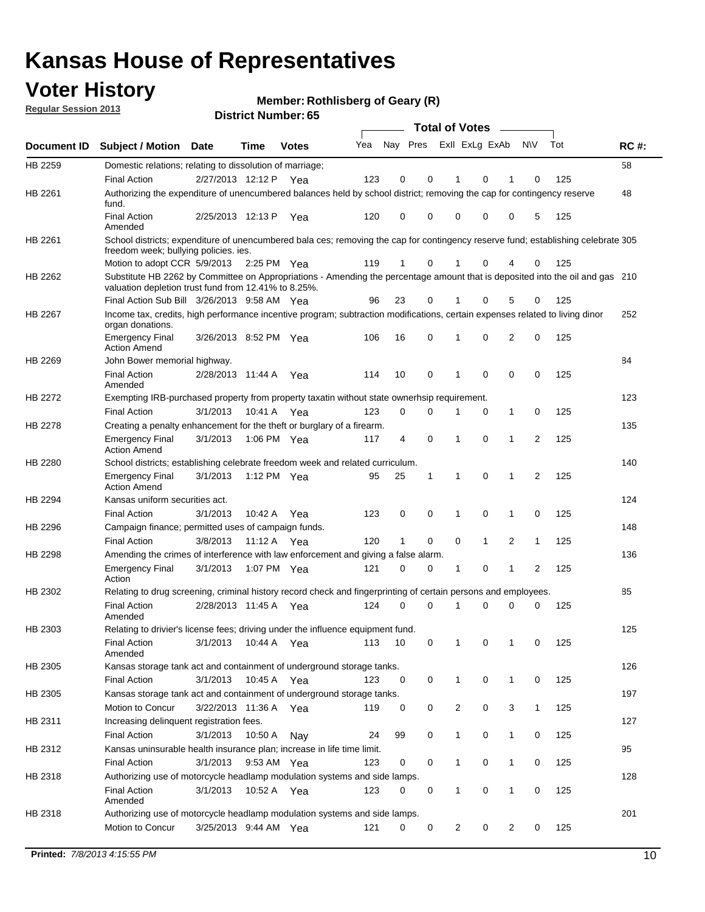## **Voter History**

**Member: Rothlisberg of Geary (R)** 

**Regular Session 2013**

|             |                                                                                                                                                                                       |                       |             |               |     |          |   | <b>Total of Votes</b> |              |                |                |     |             |
|-------------|---------------------------------------------------------------------------------------------------------------------------------------------------------------------------------------|-----------------------|-------------|---------------|-----|----------|---|-----------------------|--------------|----------------|----------------|-----|-------------|
| Document ID | <b>Subject / Motion</b>                                                                                                                                                               | <b>Date</b>           | Time        | <b>Votes</b>  | Yea | Nay Pres |   | Exll ExLg ExAb        |              |                | <b>NV</b>      | Tot | <b>RC#:</b> |
| HB 2259     | Domestic relations; relating to dissolution of marriage;                                                                                                                              |                       |             |               |     |          |   |                       |              |                |                |     | 58          |
|             | <b>Final Action</b>                                                                                                                                                                   | 2/27/2013 12:12 P     |             | Yea           | 123 | 0        | 0 |                       | 0            |                | 0              | 125 |             |
| HB 2261     | Authorizing the expenditure of unencumbered balances held by school district; removing the cap for contingency reserve<br>fund.                                                       |                       |             |               |     |          |   |                       |              |                |                |     | 48          |
|             | <b>Final Action</b><br>Amended                                                                                                                                                        | 2/25/2013 12:13 P     |             | Yea           | 120 | 0        | 0 | 0                     | 0            | 0              | 5              | 125 |             |
| HB 2261     | School districts; expenditure of unencumbered bala ces; removing the cap for contingency reserve fund; establishing celebrate 305<br>freedom week; bullying policies. ies.            |                       |             |               |     |          |   |                       |              |                |                |     |             |
|             | Motion to adopt CCR 5/9/2013                                                                                                                                                          |                       |             | 2:25 PM $Yea$ | 119 | 1        | 0 | 1                     | 0            | 4              | 0              | 125 |             |
| HB 2262     | Substitute HB 2262 by Committee on Appropriations - Amending the percentage amount that is deposited into the oil and gas 210<br>valuation depletion trust fund from 12.41% to 8.25%. |                       |             |               |     |          |   |                       |              |                |                |     |             |
|             | Final Action Sub Bill 3/26/2013 9:58 AM Yea                                                                                                                                           |                       |             |               | 96  | 23       | 0 |                       | 0            | 5              | 0              | 125 |             |
| HB 2267     | Income tax, credits, high performance incentive program; subtraction modifications, certain expenses related to living dinor<br>organ donations.                                      |                       |             |               |     |          |   |                       |              |                |                |     | 252         |
|             | <b>Emergency Final</b><br><b>Action Amend</b>                                                                                                                                         | 3/26/2013 8:52 PM Yea |             |               | 106 | 16       | 0 | 1                     | 0            | $\overline{2}$ | 0              | 125 |             |
| HB 2269     | John Bower memorial highway.                                                                                                                                                          |                       |             |               |     |          |   |                       |              |                |                |     | 84          |
|             | <b>Final Action</b><br>Amended                                                                                                                                                        | 2/28/2013 11:44 A     |             | Yea           | 114 | 10       | 0 | 1                     | 0            | 0              | 0              | 125 |             |
| HB 2272     | Exempting IRB-purchased property from property taxatin without state ownerhsip requirement.                                                                                           |                       |             |               |     |          |   |                       |              |                |                |     | 123         |
|             | <b>Final Action</b>                                                                                                                                                                   | 3/1/2013              |             | 10:41 A Yea   | 123 | 0        | 0 | 1                     | 0            | $\mathbf{1}$   | 0              | 125 |             |
| HB 2278     | Creating a penalty enhancement for the theft or burglary of a firearm.                                                                                                                |                       |             |               |     |          |   |                       |              |                |                |     | 135         |
|             | <b>Emergency Final</b><br><b>Action Amend</b>                                                                                                                                         | 3/1/2013              |             | 1:06 PM Yea   | 117 | 4        | 0 | 1                     | 0            | 1              | 2              | 125 |             |
| HB 2280     | School districts; establishing celebrate freedom week and related curriculum.                                                                                                         |                       |             |               |     |          |   |                       |              |                |                |     | 140         |
|             | <b>Emergency Final</b><br><b>Action Amend</b>                                                                                                                                         | 3/1/2013              | 1:12 PM Yea |               | 95  | 25       | 1 | $\mathbf 1$           | $\mathbf 0$  | 1              | 2              | 125 |             |
| HB 2294     | Kansas uniform securities act.                                                                                                                                                        |                       |             |               |     |          |   |                       |              |                |                |     | 124         |
|             | <b>Final Action</b>                                                                                                                                                                   | 3/1/2013              | 10:42 A     | Yea           | 123 | 0        | 0 | 1                     | 0            | 1              | 0              | 125 |             |
| HB 2296     | Campaign finance; permitted uses of campaign funds.                                                                                                                                   |                       |             |               |     |          |   |                       |              |                |                |     | 148         |
|             | <b>Final Action</b>                                                                                                                                                                   | 3/8/2013              |             | 11:12 A Yea   | 120 | 1        | 0 | 0                     | $\mathbf{1}$ | $\overline{2}$ | $\mathbf{1}$   | 125 |             |
| HB 2298     | Amending the crimes of interference with law enforcement and giving a false alarm.                                                                                                    |                       |             |               |     |          |   |                       |              |                |                |     | 136         |
|             | <b>Emergency Final</b><br>Action                                                                                                                                                      | 3/1/2013              |             | 1:07 PM Yea   | 121 | 0        | 0 | 1                     | 0            | 1              | $\overline{2}$ | 125 |             |
| HB 2302     | Relating to drug screening, criminal history record check and fingerprinting of certain persons and employees.                                                                        |                       |             |               |     |          |   |                       |              |                |                |     | 85          |
|             | <b>Final Action</b><br>Amended                                                                                                                                                        | 2/28/2013 11:45 A     |             | Yea           | 124 | 0        | 0 | 1                     | 0            | 0              | 0              | 125 |             |
| HB 2303     | Relating to drivier's license fees; driving under the influence equipment fund.                                                                                                       |                       |             |               |     |          |   |                       |              |                |                |     | 125         |
|             | <b>Final Action</b><br>Amended                                                                                                                                                        | 3/1/2013 10:44 A Yea  |             |               | 113 | 10       | 0 | $\mathbf{1}$          | 0            |                | 0              | 125 |             |
| HB 2305     | Kansas storage tank act and containment of underground storage tanks.                                                                                                                 |                       |             |               |     |          |   |                       |              |                |                |     | 126         |
|             | <b>Final Action</b>                                                                                                                                                                   | 3/1/2013              | 10:45 A     | Yea           | 123 | 0        | 0 | $\mathbf 1$           | 0            | $\mathbf{1}$   | 0              | 125 |             |
| HB 2305     | Kansas storage tank act and containment of underground storage tanks.                                                                                                                 |                       |             |               |     |          |   |                       |              |                |                |     | 197         |
|             | Motion to Concur                                                                                                                                                                      | 3/22/2013 11:36 A Yea |             |               | 119 | 0        | 0 | 2                     | 0            | 3              | $\mathbf{1}$   | 125 |             |
| HB 2311     | Increasing delinquent registration fees.                                                                                                                                              |                       |             |               |     |          |   |                       |              |                |                |     | 127         |
|             | <b>Final Action</b>                                                                                                                                                                   | 3/1/2013              | 10:50 A     | Nay           | 24  | 99       | 0 | 1                     | 0            | 1              | 0              | 125 |             |
| HB 2312     | Kansas uninsurable health insurance plan; increase in life time limit.                                                                                                                |                       |             |               |     |          |   |                       |              |                |                |     | 95          |
|             | <b>Final Action</b>                                                                                                                                                                   | 3/1/2013              |             | 9:53 AM Yea   | 123 | 0        | 0 | 1                     | 0            | 1              | 0              | 125 |             |
| HB 2318     | Authorizing use of motorcycle headlamp modulation systems and side lamps.                                                                                                             |                       |             |               |     |          |   |                       |              |                |                |     | 128         |
|             | <b>Final Action</b><br>Amended                                                                                                                                                        | 3/1/2013              | 10:52 A Yea |               | 123 | 0        | 0 | 1                     | 0            | 1              | 0              | 125 |             |
| HB 2318     | Authorizing use of motorcycle headlamp modulation systems and side lamps.                                                                                                             |                       |             |               |     |          |   |                       |              |                |                |     | 201         |
|             | Motion to Concur                                                                                                                                                                      | 3/25/2013 9:44 AM Yea |             |               | 121 | 0        | 0 | $\overline{2}$        | 0            | $\overline{2}$ | 0              | 125 |             |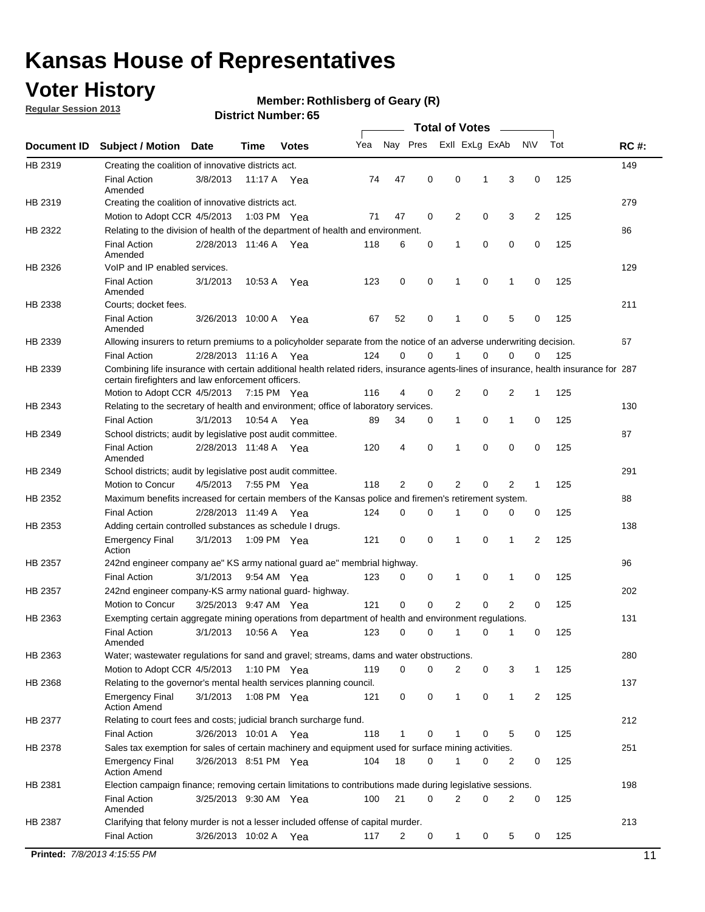## **Voter History**

**Regular Session 2013**

#### **Member: Rothlisberg of Geary (R)**

|             |                                                                                                                                                                                             |                       |             |               |     |             |             | <b>Total of Votes</b> |             |                |             |     |             |
|-------------|---------------------------------------------------------------------------------------------------------------------------------------------------------------------------------------------|-----------------------|-------------|---------------|-----|-------------|-------------|-----------------------|-------------|----------------|-------------|-----|-------------|
| Document ID | <b>Subject / Motion</b>                                                                                                                                                                     | Date                  | Time        | <b>Votes</b>  | Yea | Nay Pres    |             | Exll ExLg ExAb        |             |                | <b>NV</b>   | Tot | <b>RC#:</b> |
| HB 2319     | Creating the coalition of innovative districts act.                                                                                                                                         |                       |             |               |     |             |             |                       |             |                |             |     | 149         |
|             | <b>Final Action</b><br>Amended                                                                                                                                                              | 3/8/2013              | 11:17 A     | Yea           | 74  | 47          | 0           | 0                     | 1           | 3              | 0           | 125 |             |
| HB 2319     | Creating the coalition of innovative districts act.<br>Motion to Adopt CCR 4/5/2013                                                                                                         |                       |             | 1:03 PM Yea   | 71  | 47          | 0           | 2                     | 0           | 3              | 2           | 125 | 279         |
| HB 2322     | Relating to the division of health of the department of health and environment.                                                                                                             |                       |             |               |     |             |             |                       |             |                |             |     | 86          |
|             | <b>Final Action</b><br>Amended                                                                                                                                                              | 2/28/2013 11:46 A Yea |             |               | 118 | 6           | 0           | 1                     | 0           | 0              | 0           | 125 |             |
| HB 2326     | VoIP and IP enabled services.                                                                                                                                                               |                       |             |               |     |             |             |                       |             |                |             |     | 129         |
|             | <b>Final Action</b><br>Amended                                                                                                                                                              | 3/1/2013              | 10:53 A     | Yea           | 123 | $\mathbf 0$ | 0           | 1                     | $\mathbf 0$ | 1              | $\mathbf 0$ | 125 |             |
| HB 2338     | Courts; docket fees.                                                                                                                                                                        |                       |             |               |     |             |             |                       |             |                |             |     | 211         |
|             | <b>Final Action</b><br>Amended                                                                                                                                                              | 3/26/2013 10:00 A     |             | Yea           | 67  | 52          | 0           | $\mathbf 1$           | 0           | 5              | 0           | 125 |             |
| HB 2339     | Allowing insurers to return premiums to a policyholder separate from the notice of an adverse underwriting decision.                                                                        |                       |             |               |     |             |             |                       |             |                |             |     | 67          |
|             | <b>Final Action</b>                                                                                                                                                                         | 2/28/2013 11:16 A Yea |             |               | 124 | 0           | 0           | 1                     | 0           | 0              | 0           | 125 |             |
| HB 2339     | Combining life insurance with certain additional health related riders, insurance agents-lines of insurance, health insurance for 287<br>certain firefighters and law enforcement officers. |                       |             |               |     |             |             |                       |             |                |             |     |             |
|             | Motion to Adopt CCR 4/5/2013 7:15 PM Yea                                                                                                                                                    |                       |             |               | 116 | 4           | 0           | 2                     | 0           | 2              | 1           | 125 |             |
| HB 2343     | Relating to the secretary of health and environment; office of laboratory services.                                                                                                         |                       |             |               |     |             |             |                       |             |                |             |     | 130         |
|             | <b>Final Action</b>                                                                                                                                                                         | 3/1/2013              | 10:54 A Yea |               | 89  | 34          | 0           | $\mathbf{1}$          | 0           | 1              | 0           | 125 |             |
| HB 2349     | School districts; audit by legislative post audit committee.<br><b>Final Action</b>                                                                                                         | 2/28/2013 11:48 A Yea |             |               | 120 | 4           | 0           | 1                     | $\Omega$    | $\Omega$       | 0           | 125 | 87          |
|             | Amended                                                                                                                                                                                     |                       |             |               |     |             |             |                       |             |                |             |     |             |
| HB 2349     | School districts; audit by legislative post audit committee.                                                                                                                                |                       |             |               |     |             |             |                       |             |                |             |     | 291         |
|             | Motion to Concur                                                                                                                                                                            | 4/5/2013              |             | 7:55 PM Yea   | 118 | 2           | 0           | 2                     | 0           | $\overline{2}$ | 1           | 125 |             |
| HB 2352     | Maximum benefits increased for certain members of the Kansas police and firemen's retirement system.                                                                                        |                       |             |               |     |             |             | 1                     |             |                |             |     | 88          |
|             | <b>Final Action</b>                                                                                                                                                                         | 2/28/2013 11:49 A     |             | Yea           | 124 | 0           | 0           |                       | 0           | 0              | 0           | 125 |             |
| HB 2353     | Adding certain controlled substances as schedule I drugs.<br><b>Emergency Final</b><br>Action                                                                                               | 3/1/2013              |             | 1:09 PM Yea   | 121 | $\mathbf 0$ | $\mathbf 0$ | 1                     | 0           | 1              | 2           | 125 | 138         |
| HB 2357     | 242nd engineer company ae" KS army national guard ae" membrial highway.                                                                                                                     |                       |             |               |     |             |             |                       |             |                |             |     | 96          |
|             | <b>Final Action</b>                                                                                                                                                                         | 3/1/2013              |             | 9:54 AM Yea   | 123 | 0           | 0           | 1                     | 0           | 1              | 0           | 125 |             |
| HB 2357     | 242nd engineer company-KS army national guard- highway.                                                                                                                                     |                       |             |               |     |             |             |                       |             |                |             |     | 202         |
|             | Motion to Concur                                                                                                                                                                            | 3/25/2013 9:47 AM Yea |             |               | 121 | $\mathbf 0$ | $\mathbf 0$ | $\overline{2}$        | $\mathbf 0$ | $\overline{2}$ | 0           | 125 |             |
| HB 2363     | Exempting certain aggregate mining operations from department of health and environment regulations.                                                                                        |                       |             |               |     |             |             |                       |             |                |             |     | 131         |
|             | <b>Final Action</b><br>Amended                                                                                                                                                              | 3/1/2013              | 10:56 A     | Yea           | 123 | 0           | 0           | 1                     | 0           | 1              | 0           | 125 |             |
| HB 2363     | Water; wastewater regulations for sand and gravel; streams, dams and water obstructions.                                                                                                    |                       |             |               |     |             |             |                       |             |                |             |     | 280         |
|             | Motion to Adopt CCR 4/5/2013                                                                                                                                                                |                       |             | 1:10 PM $Yea$ | 119 | 0           | 0           | 2                     | 0           | 3              | 1           | 125 |             |
| HB 2368     | Relating to the governor's mental health services planning council.                                                                                                                         |                       |             |               |     |             |             |                       |             |                |             |     | 137         |
|             | <b>Emergency Final</b><br><b>Action Amend</b>                                                                                                                                               | 3/1/2013              |             | 1:08 PM Yea   | 121 | 0           | 0           | $\mathbf{1}$          | 0           | 1              | 2           | 125 |             |
| HB 2377     | Relating to court fees and costs; judicial branch surcharge fund.                                                                                                                           |                       |             |               |     |             |             |                       |             |                |             |     | 212         |
|             | <b>Final Action</b>                                                                                                                                                                         | 3/26/2013 10:01 A Yea |             |               | 118 | 1           | 0           |                       | 0           | 5              | 0           | 125 |             |
| HB 2378     | Sales tax exemption for sales of certain machinery and equipment used for surface mining activities.                                                                                        |                       |             |               |     |             |             |                       |             |                |             |     | 251         |
|             | <b>Emergency Final</b><br><b>Action Amend</b>                                                                                                                                               | 3/26/2013 8:51 PM Yea |             |               | 104 | 18          | 0           | 1                     | 0           | 2              | 0           | 125 |             |
| HB 2381     | Election campaign finance; removing certain limitations to contributions made during legislative sessions.                                                                                  |                       |             |               |     |             |             |                       |             |                |             |     | 198         |
|             | <b>Final Action</b><br>Amended                                                                                                                                                              | 3/25/2013 9:30 AM Yea |             |               | 100 | 21          | 0           | $\overline{2}$        | 0           | 2              | 0           | 125 |             |
| HB 2387     | Clarifying that felony murder is not a lesser included offense of capital murder.                                                                                                           |                       |             |               |     |             |             |                       |             |                |             |     | 213         |
|             | <b>Final Action</b>                                                                                                                                                                         | 3/26/2013 10:02 A     |             | Yea           | 117 | 2           | 0           | $\mathbf{1}$          | 0           | 5              | 0           | 125 |             |
|             | Printed: 7/8/2013 4:15:55 PM                                                                                                                                                                |                       |             |               |     |             |             |                       |             |                |             |     | 11          |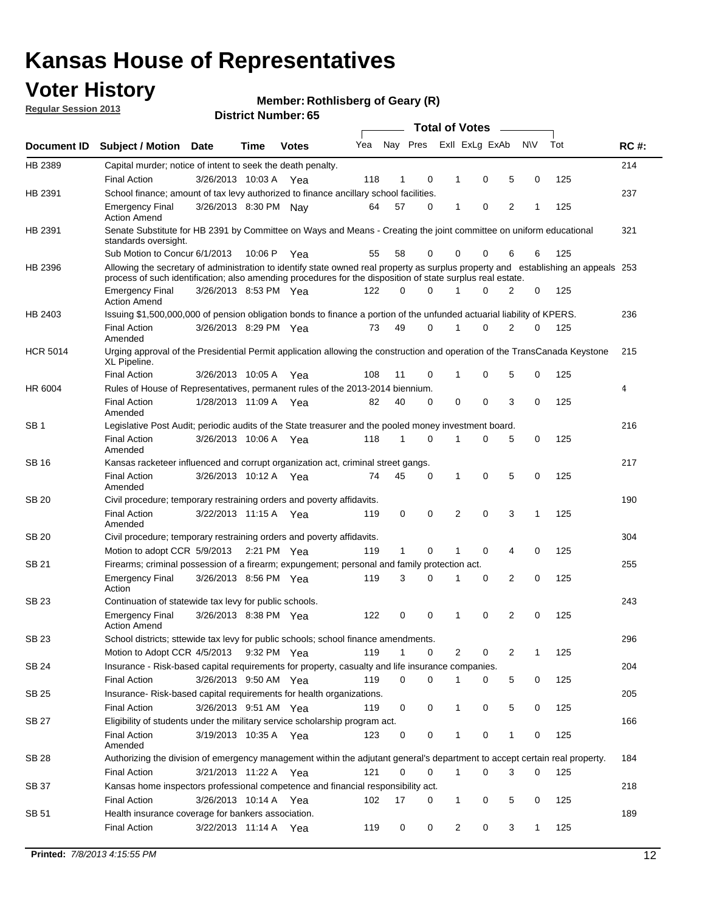## **Voter History**

**Member: Rothlisberg of Geary (R)** 

**Regular Session 2013**

|                 |                                                                                                                                                                                                                                                  |                       |             |              |     |              |          | <b>Total of Votes</b> |   |   |              |     |             |
|-----------------|--------------------------------------------------------------------------------------------------------------------------------------------------------------------------------------------------------------------------------------------------|-----------------------|-------------|--------------|-----|--------------|----------|-----------------------|---|---|--------------|-----|-------------|
| Document ID     | Subject / Motion Date                                                                                                                                                                                                                            |                       | Time        | <b>Votes</b> | Yea | Nay Pres     |          | Exll ExLg ExAb        |   |   | <b>NV</b>    | Tot | <b>RC#:</b> |
| HB 2389         | Capital murder; notice of intent to seek the death penalty.                                                                                                                                                                                      |                       |             |              |     |              |          |                       |   |   |              |     | 214         |
|                 | <b>Final Action</b>                                                                                                                                                                                                                              | 3/26/2013 10:03 A     |             | Yea          | 118 | 1            | 0        | 1                     | 0 | 5 | 0            | 125 |             |
| HB 2391         | School finance; amount of tax levy authorized to finance ancillary school facilities.                                                                                                                                                            |                       |             |              |     |              |          |                       |   |   |              |     | 237         |
|                 | <b>Emergency Final</b><br><b>Action Amend</b>                                                                                                                                                                                                    | 3/26/2013 8:30 PM Nav |             |              | 64  | 57           | 0        | $\mathbf{1}$          | 0 | 2 | 1            | 125 |             |
| HB 2391         | Senate Substitute for HB 2391 by Committee on Ways and Means - Creating the joint committee on uniform educational<br>standards oversight.                                                                                                       |                       |             |              |     |              |          |                       |   |   |              |     | 321         |
|                 | Sub Motion to Concur 6/1/2013                                                                                                                                                                                                                    |                       | 10:06 P     | Yea          | 55  | 58           | 0        | 0                     | 0 | 6 | 6            | 125 |             |
| HB 2396         | Allowing the secretary of administration to identify state owned real property as surplus property and establishing an appeals 253<br>process of such identification; also amending procedures for the disposition of state surplus real estate. |                       |             |              |     |              |          |                       |   |   |              |     |             |
|                 | <b>Emergency Final</b><br>Action Amend                                                                                                                                                                                                           | 3/26/2013 8:53 PM Yea |             |              | 122 | 0            | 0        |                       | 0 | 2 | 0            | 125 |             |
| HB 2403         | Issuing \$1,500,000,000 of pension obligation bonds to finance a portion of the unfunded actuarial liability of KPERS.                                                                                                                           |                       |             |              |     |              |          |                       |   |   |              |     | 236         |
|                 | <b>Final Action</b><br>Amended                                                                                                                                                                                                                   | 3/26/2013 8:29 PM Yea |             |              | 73  | 49           | 0        | 1                     | 0 | 2 | 0            | 125 |             |
| <b>HCR 5014</b> | Urging approval of the Presidential Permit application allowing the construction and operation of the TransCanada Keystone<br>XL Pipeline.                                                                                                       |                       |             |              |     |              |          |                       |   |   |              |     | 215         |
|                 | <b>Final Action</b>                                                                                                                                                                                                                              | 3/26/2013 10:05 A     |             | Yea          | 108 | 11           | 0        |                       | 0 | 5 | 0            | 125 |             |
| HR 6004         | Rules of House of Representatives, permanent rules of the 2013-2014 biennium.                                                                                                                                                                    |                       |             |              |     |              |          |                       |   |   |              |     | 4           |
|                 | <b>Final Action</b><br>Amended                                                                                                                                                                                                                   | 1/28/2013 11:09 A     |             | Yea          | 82  | 40           | 0        | 0                     | 0 | 3 | 0            | 125 |             |
| SB 1            | Legislative Post Audit; periodic audits of the State treasurer and the pooled money investment board.                                                                                                                                            |                       |             |              |     |              |          |                       |   |   |              |     | 216         |
|                 | <b>Final Action</b><br>Amended                                                                                                                                                                                                                   | 3/26/2013 10:06 A     |             | Yea          | 118 | 1            | 0        | 1                     | 0 | 5 | 0            | 125 |             |
| SB 16           | Kansas racketeer influenced and corrupt organization act, criminal street gangs.                                                                                                                                                                 |                       |             |              |     |              |          |                       |   |   |              |     | 217         |
|                 | <b>Final Action</b><br>Amended                                                                                                                                                                                                                   | 3/26/2013 10:12 A Yea |             |              | 74  | 45           | 0        | 1                     | 0 | 5 | 0            | 125 |             |
| SB 20           | Civil procedure; temporary restraining orders and poverty affidavits.                                                                                                                                                                            |                       |             |              |     |              |          |                       |   |   |              |     | 190         |
|                 | <b>Final Action</b><br>Amended                                                                                                                                                                                                                   | 3/22/2013 11:15 A     |             | Yea          | 119 | 0            | 0        | 2                     | 0 | 3 | 1            | 125 |             |
| SB 20           | Civil procedure; temporary restraining orders and poverty affidavits.                                                                                                                                                                            |                       |             |              |     |              |          |                       |   |   |              |     | 304         |
|                 | Motion to adopt CCR 5/9/2013                                                                                                                                                                                                                     |                       | 2:21 PM Yea |              | 119 | $\mathbf{1}$ | 0        | 1                     | 0 | 4 | 0            | 125 |             |
| SB 21           | Firearms; criminal possession of a firearm; expungement; personal and family protection act.                                                                                                                                                     |                       |             |              |     |              |          |                       |   |   |              |     | 255         |
|                 | <b>Emergency Final</b><br>Action                                                                                                                                                                                                                 | 3/26/2013 8:56 PM Yea |             |              | 119 | 3            | 0        |                       | 0 | 2 | 0            | 125 |             |
| SB 23           | Continuation of statewide tax levy for public schools.                                                                                                                                                                                           |                       |             |              |     |              |          |                       |   |   |              |     | 243         |
|                 | <b>Emergency Final</b><br><b>Action Amend</b>                                                                                                                                                                                                    | 3/26/2013 8:38 PM Yea |             |              | 122 | 0            | 0        | 1                     | 0 | 2 | 0            | 125 |             |
| <b>SB 23</b>    | School districts; sttewide tax levy for public schools; school finance amendments.                                                                                                                                                               |                       |             |              |     |              |          |                       |   |   |              |     | 296         |
|                 | Motion to Adopt CCR 4/5/2013 9:32 PM Yea                                                                                                                                                                                                         |                       |             |              | 119 | 1            | 0        | 2                     | 0 | 2 | 1            | 125 |             |
| <b>SB 24</b>    | Insurance - Risk-based capital requirements for property, casualty and life insurance companies.                                                                                                                                                 |                       |             |              |     |              |          |                       |   |   |              |     | 204         |
|                 | <b>Final Action</b>                                                                                                                                                                                                                              | 3/26/2013 9:50 AM Yea |             |              | 119 | 0            | 0        |                       | 0 | 5 | 0            | 125 |             |
| SB 25           | Insurance-Risk-based capital requirements for health organizations.                                                                                                                                                                              |                       |             |              |     |              |          |                       |   |   |              |     | 205         |
|                 | <b>Final Action</b>                                                                                                                                                                                                                              | 3/26/2013 9:51 AM Yea |             |              | 119 | 0            | 0        | 1                     | 0 | 5 | 0            | 125 |             |
| SB 27           | Eligibility of students under the military service scholarship program act.                                                                                                                                                                      |                       |             |              |     |              |          |                       |   |   |              |     | 166         |
|                 | <b>Final Action</b><br>Amended                                                                                                                                                                                                                   | 3/19/2013 10:35 A Yea |             |              | 123 | 0            | 0        |                       | 0 | 1 | 0            | 125 |             |
| SB 28           | Authorizing the division of emergency management within the adjutant general's department to accept certain real property.                                                                                                                       |                       |             |              |     |              |          |                       |   |   |              |     | 184         |
|                 | <b>Final Action</b>                                                                                                                                                                                                                              | 3/21/2013 11:22 A Yea |             |              | 121 | 0            | $\Omega$ | 1                     | 0 | 3 | $\Omega$     | 125 |             |
| SB 37           | Kansas home inspectors professional competence and financial responsibility act.                                                                                                                                                                 |                       |             |              |     |              |          |                       |   |   |              |     | 218         |
|                 | <b>Final Action</b>                                                                                                                                                                                                                              | 3/26/2013 10:14 A Yea |             |              | 102 | 17           | 0        | 1                     | 0 | 5 | 0            | 125 |             |
| SB 51           | Health insurance coverage for bankers association.                                                                                                                                                                                               |                       |             |              |     |              |          |                       |   |   |              |     | 189         |
|                 | <b>Final Action</b>                                                                                                                                                                                                                              | 3/22/2013 11:14 A Yea |             |              | 119 | 0            | 0        | 2                     | 0 | 3 | $\mathbf{1}$ | 125 |             |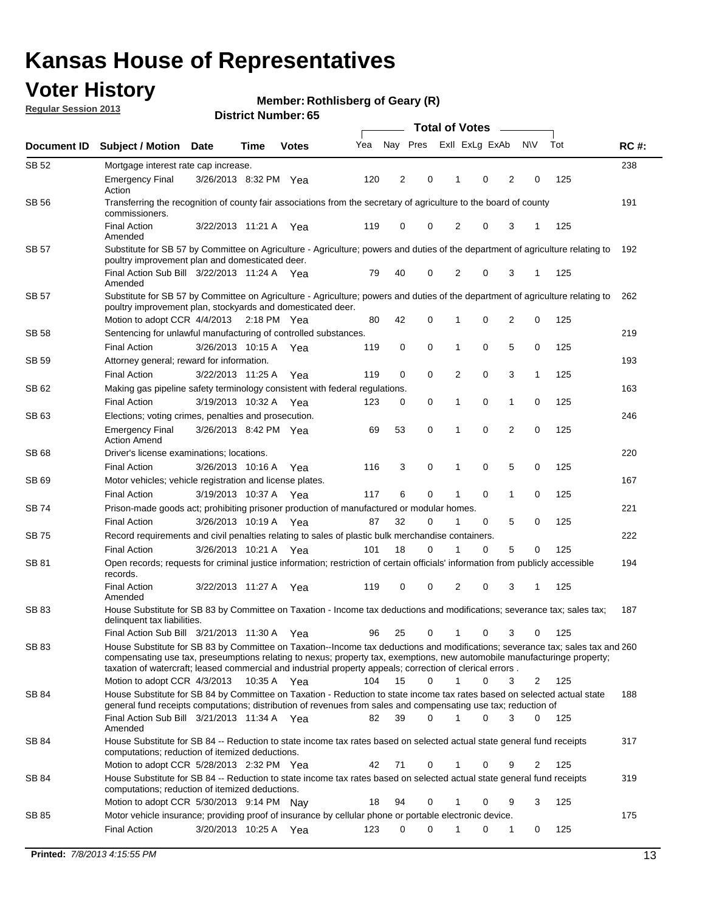## **Voter History**

**Member: Rothlisberg of Geary (R)** 

**Regular Session 2013**

| Exll ExLg ExAb<br>Nay Pres<br><b>NV</b><br>Tot<br>Yea<br><b>RC#:</b><br>Document ID<br><b>Subject / Motion</b><br><b>Date</b><br>Time<br><b>Votes</b><br>SB 52<br>238<br>Mortgage interest rate cap increase.<br>2<br>0<br>125<br><b>Emergency Final</b><br>3/26/2013 8:32 PM Yea<br>120<br>0<br>2<br>0<br>1<br>Action<br>SB 56<br>191<br>Transferring the recognition of county fair associations from the secretary of agriculture to the board of county<br>commissioners.<br><b>Final Action</b><br>0<br>0<br>2<br>0<br>3<br>125<br>3/22/2013 11:21 A<br>119<br>Yea<br>1<br>Amended<br><b>SB 57</b><br>Substitute for SB 57 by Committee on Agriculture - Agriculture; powers and duties of the department of agriculture relating to<br>192<br>poultry improvement plan and domesticated deer.<br>Final Action Sub Bill 3/22/2013 11:24 A Yea<br>79<br>40<br>0<br>2<br>0<br>3<br>125<br>$\mathbf 1$<br>Amended<br>SB 57<br>Substitute for SB 57 by Committee on Agriculture - Agriculture; powers and duties of the department of agriculture relating to<br>262<br>poultry improvement plan, stockyards and domesticated deer.<br>$\overline{2}$<br>Motion to adopt CCR 4/4/2013<br>80<br>42<br>0<br>0<br>0<br>125<br>$2:18$ PM Yea<br>SB 58<br>Sentencing for unlawful manufacturing of controlled substances.<br>219<br>0<br>5<br>0<br><b>Final Action</b><br>3/26/2013 10:15 A<br>0<br>0<br>125<br>119<br>1<br>Yea<br>Attorney general; reward for information.<br>193<br><b>SB 59</b><br>0<br>0<br>0<br>3<br><b>Final Action</b><br>3/22/2013 11:25 A<br>119<br>2<br>1<br>125<br>Yea<br>163<br>SB 62<br>Making gas pipeline safety terminology consistent with federal regulations.<br><b>Final Action</b><br>0<br>0<br>0<br>125<br>3/19/2013 10:32 A<br>123<br>0<br>1<br>Yea<br>1<br>SB 63<br>Elections; voting crimes, penalties and prosecution.<br>246<br>0<br>0<br>$\overline{2}$<br>0<br>53<br>125<br><b>Emergency Final</b><br>3/26/2013 8:42 PM Yea<br>69<br>1<br><b>Action Amend</b><br>220<br>SB 68<br>Driver's license examinations; locations.<br>5<br>3/26/2013 10:16 A<br>116<br>3<br>0<br>0<br>0<br>125<br><b>Final Action</b><br>1<br>Yea<br>167<br>SB 69<br>Motor vehicles; vehicle registration and license plates.<br>3/19/2013 10:37 A<br>117<br>6<br>0<br>0<br>$\mathbf{1}$<br>0<br>125<br><b>Final Action</b><br>1<br>Yea<br>Prison-made goods act; prohibiting prisoner production of manufactured or modular homes.<br>221<br>SB 74<br>3/26/2013 10:19 A<br>32<br>0<br>5<br>0<br>125<br><b>Final Action</b><br>87<br>0<br>1<br>Yea<br>222<br>SB 75<br>Record requirements and civil penalties relating to sales of plastic bulk merchandise containers.<br>5<br>101<br>18<br>0<br>0<br>0<br>125<br><b>Final Action</b><br>3/26/2013 10:21 A<br>Yea<br>1<br>Open records; requests for criminal justice information; restriction of certain officials' information from publicly accessible<br>194<br>SB 81<br>records.<br>0<br>$\overline{2}$<br>3<br><b>Final Action</b><br>119<br>0<br>0<br>125<br>3/22/2013 11:27 A<br>1<br>Yea<br>Amended<br><b>SB 83</b><br>187<br>House Substitute for SB 83 by Committee on Taxation - Income tax deductions and modifications; severance tax; sales tax;<br>delinquent tax liabilities.<br>25<br>0<br>0<br>3<br>125<br>Final Action Sub Bill 3/21/2013 11:30 A<br>96<br>1<br>0<br>Yea<br>SB 83<br>House Substitute for SB 83 by Committee on Taxation--Income tax deductions and modifications; severance tax; sales tax and 260<br>compensating use tax, preseumptions relating to nexus; property tax, exemptions, new automobile manufacturinge property;<br>taxation of watercraft; leased commercial and industrial property appeals; correction of clerical errors.<br>Motion to adopt CCR 4/3/2013<br>104<br>15<br>$\Omega$<br>0<br>125<br>10:35 A Yea<br>$\mathbf 1$<br>3<br>2<br>House Substitute for SB 84 by Committee on Taxation - Reduction to state income tax rates based on selected actual state<br>SB 84<br>188<br>general fund receipts computations; distribution of revenues from sales and compensating use tax; reduction of<br>Final Action Sub Bill 3/21/2013 11:34 A Yea<br>82<br>39<br>0<br>1<br>0<br>3<br>0<br>125<br>Amended<br>317<br>SB 84<br>House Substitute for SB 84 -- Reduction to state income tax rates based on selected actual state general fund receipts<br>computations; reduction of itemized deductions.<br>Motion to adopt CCR 5/28/2013 2:32 PM Yea<br>42<br>71<br>0<br>0<br>2<br>125<br>9<br>1<br>SB 84<br>House Substitute for SB 84 -- Reduction to state income tax rates based on selected actual state general fund receipts<br>319<br>computations; reduction of itemized deductions.<br>Motion to adopt CCR 5/30/2013 9:14 PM Nay<br>18<br>94<br>0<br>0<br>9<br>3<br>125<br>1<br>Motor vehicle insurance; providing proof of insurance by cellular phone or portable electronic device.<br>175<br>SB 85<br>125<br><b>Final Action</b><br>3/20/2013 10:25 A Yea<br>123<br>0<br>0<br>0<br>1<br>0 | <b>Total of Votes</b><br>$\overline{\phantom{a}}$ |  |  |  |  |  |  |  |  |  |  |  |  |
|-----------------------------------------------------------------------------------------------------------------------------------------------------------------------------------------------------------------------------------------------------------------------------------------------------------------------------------------------------------------------------------------------------------------------------------------------------------------------------------------------------------------------------------------------------------------------------------------------------------------------------------------------------------------------------------------------------------------------------------------------------------------------------------------------------------------------------------------------------------------------------------------------------------------------------------------------------------------------------------------------------------------------------------------------------------------------------------------------------------------------------------------------------------------------------------------------------------------------------------------------------------------------------------------------------------------------------------------------------------------------------------------------------------------------------------------------------------------------------------------------------------------------------------------------------------------------------------------------------------------------------------------------------------------------------------------------------------------------------------------------------------------------------------------------------------------------------------------------------------------------------------------------------------------------------------------------------------------------------------------------------------------------------------------------------------------------------------------------------------------------------------------------------------------------------------------------------------------------------------------------------------------------------------------------------------------------------------------------------------------------------------------------------------------------------------------------------------------------------------------------------------------------------------------------------------------------------------------------------------------------------------------------------------------------------------------------------------------------------------------------------------------------------------------------------------------------------------------------------------------------------------------------------------------------------------------------------------------------------------------------------------------------------------------------------------------------------------------------------------------------------------------------------------------------------------------------------------------------------------------------------------------------------------------------------------------------------------------------------------------------------------------------------------------------------------------------------------------------------------------------------------------------------------------------------------------------------------------------------------------------------------------------------------------------------------------------------------------------------------------------------------------------------------------------------------------------------------------------------------------------------------------------------------------------------------------------------------------------------------------------------------------------------------------------------------------------------------------------------------------------------------------------------------------------------------------------------------------------------------------------------------------------------------------------------------------------------------------------------------------------------------------------------------------------------------------------------------------------------------------------------------------------------------------------------------------------------------------------------------------------------------------------------------------------------------------------------------------------------------------------------------------------------------------------------------------------------------------------------------------------------------------------------------------------------------------------------------------------------------------------------------------------------------|---------------------------------------------------|--|--|--|--|--|--|--|--|--|--|--|--|
|                                                                                                                                                                                                                                                                                                                                                                                                                                                                                                                                                                                                                                                                                                                                                                                                                                                                                                                                                                                                                                                                                                                                                                                                                                                                                                                                                                                                                                                                                                                                                                                                                                                                                                                                                                                                                                                                                                                                                                                                                                                                                                                                                                                                                                                                                                                                                                                                                                                                                                                                                                                                                                                                                                                                                                                                                                                                                                                                                                                                                                                                                                                                                                                                                                                                                                                                                                                                                                                                                                                                                                                                                                                                                                                                                                                                                                                                                                                                                                                                                                                                                                                                                                                                                                                                                                                                                                                                                                                                                                                                                                                                                                                                                                                                                                                                                                                                                                                                                                                                                                   |                                                   |  |  |  |  |  |  |  |  |  |  |  |  |
|                                                                                                                                                                                                                                                                                                                                                                                                                                                                                                                                                                                                                                                                                                                                                                                                                                                                                                                                                                                                                                                                                                                                                                                                                                                                                                                                                                                                                                                                                                                                                                                                                                                                                                                                                                                                                                                                                                                                                                                                                                                                                                                                                                                                                                                                                                                                                                                                                                                                                                                                                                                                                                                                                                                                                                                                                                                                                                                                                                                                                                                                                                                                                                                                                                                                                                                                                                                                                                                                                                                                                                                                                                                                                                                                                                                                                                                                                                                                                                                                                                                                                                                                                                                                                                                                                                                                                                                                                                                                                                                                                                                                                                                                                                                                                                                                                                                                                                                                                                                                                                   |                                                   |  |  |  |  |  |  |  |  |  |  |  |  |
|                                                                                                                                                                                                                                                                                                                                                                                                                                                                                                                                                                                                                                                                                                                                                                                                                                                                                                                                                                                                                                                                                                                                                                                                                                                                                                                                                                                                                                                                                                                                                                                                                                                                                                                                                                                                                                                                                                                                                                                                                                                                                                                                                                                                                                                                                                                                                                                                                                                                                                                                                                                                                                                                                                                                                                                                                                                                                                                                                                                                                                                                                                                                                                                                                                                                                                                                                                                                                                                                                                                                                                                                                                                                                                                                                                                                                                                                                                                                                                                                                                                                                                                                                                                                                                                                                                                                                                                                                                                                                                                                                                                                                                                                                                                                                                                                                                                                                                                                                                                                                                   |                                                   |  |  |  |  |  |  |  |  |  |  |  |  |
|                                                                                                                                                                                                                                                                                                                                                                                                                                                                                                                                                                                                                                                                                                                                                                                                                                                                                                                                                                                                                                                                                                                                                                                                                                                                                                                                                                                                                                                                                                                                                                                                                                                                                                                                                                                                                                                                                                                                                                                                                                                                                                                                                                                                                                                                                                                                                                                                                                                                                                                                                                                                                                                                                                                                                                                                                                                                                                                                                                                                                                                                                                                                                                                                                                                                                                                                                                                                                                                                                                                                                                                                                                                                                                                                                                                                                                                                                                                                                                                                                                                                                                                                                                                                                                                                                                                                                                                                                                                                                                                                                                                                                                                                                                                                                                                                                                                                                                                                                                                                                                   |                                                   |  |  |  |  |  |  |  |  |  |  |  |  |
|                                                                                                                                                                                                                                                                                                                                                                                                                                                                                                                                                                                                                                                                                                                                                                                                                                                                                                                                                                                                                                                                                                                                                                                                                                                                                                                                                                                                                                                                                                                                                                                                                                                                                                                                                                                                                                                                                                                                                                                                                                                                                                                                                                                                                                                                                                                                                                                                                                                                                                                                                                                                                                                                                                                                                                                                                                                                                                                                                                                                                                                                                                                                                                                                                                                                                                                                                                                                                                                                                                                                                                                                                                                                                                                                                                                                                                                                                                                                                                                                                                                                                                                                                                                                                                                                                                                                                                                                                                                                                                                                                                                                                                                                                                                                                                                                                                                                                                                                                                                                                                   |                                                   |  |  |  |  |  |  |  |  |  |  |  |  |
|                                                                                                                                                                                                                                                                                                                                                                                                                                                                                                                                                                                                                                                                                                                                                                                                                                                                                                                                                                                                                                                                                                                                                                                                                                                                                                                                                                                                                                                                                                                                                                                                                                                                                                                                                                                                                                                                                                                                                                                                                                                                                                                                                                                                                                                                                                                                                                                                                                                                                                                                                                                                                                                                                                                                                                                                                                                                                                                                                                                                                                                                                                                                                                                                                                                                                                                                                                                                                                                                                                                                                                                                                                                                                                                                                                                                                                                                                                                                                                                                                                                                                                                                                                                                                                                                                                                                                                                                                                                                                                                                                                                                                                                                                                                                                                                                                                                                                                                                                                                                                                   |                                                   |  |  |  |  |  |  |  |  |  |  |  |  |
|                                                                                                                                                                                                                                                                                                                                                                                                                                                                                                                                                                                                                                                                                                                                                                                                                                                                                                                                                                                                                                                                                                                                                                                                                                                                                                                                                                                                                                                                                                                                                                                                                                                                                                                                                                                                                                                                                                                                                                                                                                                                                                                                                                                                                                                                                                                                                                                                                                                                                                                                                                                                                                                                                                                                                                                                                                                                                                                                                                                                                                                                                                                                                                                                                                                                                                                                                                                                                                                                                                                                                                                                                                                                                                                                                                                                                                                                                                                                                                                                                                                                                                                                                                                                                                                                                                                                                                                                                                                                                                                                                                                                                                                                                                                                                                                                                                                                                                                                                                                                                                   |                                                   |  |  |  |  |  |  |  |  |  |  |  |  |
|                                                                                                                                                                                                                                                                                                                                                                                                                                                                                                                                                                                                                                                                                                                                                                                                                                                                                                                                                                                                                                                                                                                                                                                                                                                                                                                                                                                                                                                                                                                                                                                                                                                                                                                                                                                                                                                                                                                                                                                                                                                                                                                                                                                                                                                                                                                                                                                                                                                                                                                                                                                                                                                                                                                                                                                                                                                                                                                                                                                                                                                                                                                                                                                                                                                                                                                                                                                                                                                                                                                                                                                                                                                                                                                                                                                                                                                                                                                                                                                                                                                                                                                                                                                                                                                                                                                                                                                                                                                                                                                                                                                                                                                                                                                                                                                                                                                                                                                                                                                                                                   |                                                   |  |  |  |  |  |  |  |  |  |  |  |  |
|                                                                                                                                                                                                                                                                                                                                                                                                                                                                                                                                                                                                                                                                                                                                                                                                                                                                                                                                                                                                                                                                                                                                                                                                                                                                                                                                                                                                                                                                                                                                                                                                                                                                                                                                                                                                                                                                                                                                                                                                                                                                                                                                                                                                                                                                                                                                                                                                                                                                                                                                                                                                                                                                                                                                                                                                                                                                                                                                                                                                                                                                                                                                                                                                                                                                                                                                                                                                                                                                                                                                                                                                                                                                                                                                                                                                                                                                                                                                                                                                                                                                                                                                                                                                                                                                                                                                                                                                                                                                                                                                                                                                                                                                                                                                                                                                                                                                                                                                                                                                                                   |                                                   |  |  |  |  |  |  |  |  |  |  |  |  |
|                                                                                                                                                                                                                                                                                                                                                                                                                                                                                                                                                                                                                                                                                                                                                                                                                                                                                                                                                                                                                                                                                                                                                                                                                                                                                                                                                                                                                                                                                                                                                                                                                                                                                                                                                                                                                                                                                                                                                                                                                                                                                                                                                                                                                                                                                                                                                                                                                                                                                                                                                                                                                                                                                                                                                                                                                                                                                                                                                                                                                                                                                                                                                                                                                                                                                                                                                                                                                                                                                                                                                                                                                                                                                                                                                                                                                                                                                                                                                                                                                                                                                                                                                                                                                                                                                                                                                                                                                                                                                                                                                                                                                                                                                                                                                                                                                                                                                                                                                                                                                                   |                                                   |  |  |  |  |  |  |  |  |  |  |  |  |
|                                                                                                                                                                                                                                                                                                                                                                                                                                                                                                                                                                                                                                                                                                                                                                                                                                                                                                                                                                                                                                                                                                                                                                                                                                                                                                                                                                                                                                                                                                                                                                                                                                                                                                                                                                                                                                                                                                                                                                                                                                                                                                                                                                                                                                                                                                                                                                                                                                                                                                                                                                                                                                                                                                                                                                                                                                                                                                                                                                                                                                                                                                                                                                                                                                                                                                                                                                                                                                                                                                                                                                                                                                                                                                                                                                                                                                                                                                                                                                                                                                                                                                                                                                                                                                                                                                                                                                                                                                                                                                                                                                                                                                                                                                                                                                                                                                                                                                                                                                                                                                   |                                                   |  |  |  |  |  |  |  |  |  |  |  |  |
|                                                                                                                                                                                                                                                                                                                                                                                                                                                                                                                                                                                                                                                                                                                                                                                                                                                                                                                                                                                                                                                                                                                                                                                                                                                                                                                                                                                                                                                                                                                                                                                                                                                                                                                                                                                                                                                                                                                                                                                                                                                                                                                                                                                                                                                                                                                                                                                                                                                                                                                                                                                                                                                                                                                                                                                                                                                                                                                                                                                                                                                                                                                                                                                                                                                                                                                                                                                                                                                                                                                                                                                                                                                                                                                                                                                                                                                                                                                                                                                                                                                                                                                                                                                                                                                                                                                                                                                                                                                                                                                                                                                                                                                                                                                                                                                                                                                                                                                                                                                                                                   |                                                   |  |  |  |  |  |  |  |  |  |  |  |  |
|                                                                                                                                                                                                                                                                                                                                                                                                                                                                                                                                                                                                                                                                                                                                                                                                                                                                                                                                                                                                                                                                                                                                                                                                                                                                                                                                                                                                                                                                                                                                                                                                                                                                                                                                                                                                                                                                                                                                                                                                                                                                                                                                                                                                                                                                                                                                                                                                                                                                                                                                                                                                                                                                                                                                                                                                                                                                                                                                                                                                                                                                                                                                                                                                                                                                                                                                                                                                                                                                                                                                                                                                                                                                                                                                                                                                                                                                                                                                                                                                                                                                                                                                                                                                                                                                                                                                                                                                                                                                                                                                                                                                                                                                                                                                                                                                                                                                                                                                                                                                                                   |                                                   |  |  |  |  |  |  |  |  |  |  |  |  |
|                                                                                                                                                                                                                                                                                                                                                                                                                                                                                                                                                                                                                                                                                                                                                                                                                                                                                                                                                                                                                                                                                                                                                                                                                                                                                                                                                                                                                                                                                                                                                                                                                                                                                                                                                                                                                                                                                                                                                                                                                                                                                                                                                                                                                                                                                                                                                                                                                                                                                                                                                                                                                                                                                                                                                                                                                                                                                                                                                                                                                                                                                                                                                                                                                                                                                                                                                                                                                                                                                                                                                                                                                                                                                                                                                                                                                                                                                                                                                                                                                                                                                                                                                                                                                                                                                                                                                                                                                                                                                                                                                                                                                                                                                                                                                                                                                                                                                                                                                                                                                                   |                                                   |  |  |  |  |  |  |  |  |  |  |  |  |
|                                                                                                                                                                                                                                                                                                                                                                                                                                                                                                                                                                                                                                                                                                                                                                                                                                                                                                                                                                                                                                                                                                                                                                                                                                                                                                                                                                                                                                                                                                                                                                                                                                                                                                                                                                                                                                                                                                                                                                                                                                                                                                                                                                                                                                                                                                                                                                                                                                                                                                                                                                                                                                                                                                                                                                                                                                                                                                                                                                                                                                                                                                                                                                                                                                                                                                                                                                                                                                                                                                                                                                                                                                                                                                                                                                                                                                                                                                                                                                                                                                                                                                                                                                                                                                                                                                                                                                                                                                                                                                                                                                                                                                                                                                                                                                                                                                                                                                                                                                                                                                   |                                                   |  |  |  |  |  |  |  |  |  |  |  |  |
|                                                                                                                                                                                                                                                                                                                                                                                                                                                                                                                                                                                                                                                                                                                                                                                                                                                                                                                                                                                                                                                                                                                                                                                                                                                                                                                                                                                                                                                                                                                                                                                                                                                                                                                                                                                                                                                                                                                                                                                                                                                                                                                                                                                                                                                                                                                                                                                                                                                                                                                                                                                                                                                                                                                                                                                                                                                                                                                                                                                                                                                                                                                                                                                                                                                                                                                                                                                                                                                                                                                                                                                                                                                                                                                                                                                                                                                                                                                                                                                                                                                                                                                                                                                                                                                                                                                                                                                                                                                                                                                                                                                                                                                                                                                                                                                                                                                                                                                                                                                                                                   |                                                   |  |  |  |  |  |  |  |  |  |  |  |  |
|                                                                                                                                                                                                                                                                                                                                                                                                                                                                                                                                                                                                                                                                                                                                                                                                                                                                                                                                                                                                                                                                                                                                                                                                                                                                                                                                                                                                                                                                                                                                                                                                                                                                                                                                                                                                                                                                                                                                                                                                                                                                                                                                                                                                                                                                                                                                                                                                                                                                                                                                                                                                                                                                                                                                                                                                                                                                                                                                                                                                                                                                                                                                                                                                                                                                                                                                                                                                                                                                                                                                                                                                                                                                                                                                                                                                                                                                                                                                                                                                                                                                                                                                                                                                                                                                                                                                                                                                                                                                                                                                                                                                                                                                                                                                                                                                                                                                                                                                                                                                                                   |                                                   |  |  |  |  |  |  |  |  |  |  |  |  |
|                                                                                                                                                                                                                                                                                                                                                                                                                                                                                                                                                                                                                                                                                                                                                                                                                                                                                                                                                                                                                                                                                                                                                                                                                                                                                                                                                                                                                                                                                                                                                                                                                                                                                                                                                                                                                                                                                                                                                                                                                                                                                                                                                                                                                                                                                                                                                                                                                                                                                                                                                                                                                                                                                                                                                                                                                                                                                                                                                                                                                                                                                                                                                                                                                                                                                                                                                                                                                                                                                                                                                                                                                                                                                                                                                                                                                                                                                                                                                                                                                                                                                                                                                                                                                                                                                                                                                                                                                                                                                                                                                                                                                                                                                                                                                                                                                                                                                                                                                                                                                                   |                                                   |  |  |  |  |  |  |  |  |  |  |  |  |
|                                                                                                                                                                                                                                                                                                                                                                                                                                                                                                                                                                                                                                                                                                                                                                                                                                                                                                                                                                                                                                                                                                                                                                                                                                                                                                                                                                                                                                                                                                                                                                                                                                                                                                                                                                                                                                                                                                                                                                                                                                                                                                                                                                                                                                                                                                                                                                                                                                                                                                                                                                                                                                                                                                                                                                                                                                                                                                                                                                                                                                                                                                                                                                                                                                                                                                                                                                                                                                                                                                                                                                                                                                                                                                                                                                                                                                                                                                                                                                                                                                                                                                                                                                                                                                                                                                                                                                                                                                                                                                                                                                                                                                                                                                                                                                                                                                                                                                                                                                                                                                   |                                                   |  |  |  |  |  |  |  |  |  |  |  |  |
|                                                                                                                                                                                                                                                                                                                                                                                                                                                                                                                                                                                                                                                                                                                                                                                                                                                                                                                                                                                                                                                                                                                                                                                                                                                                                                                                                                                                                                                                                                                                                                                                                                                                                                                                                                                                                                                                                                                                                                                                                                                                                                                                                                                                                                                                                                                                                                                                                                                                                                                                                                                                                                                                                                                                                                                                                                                                                                                                                                                                                                                                                                                                                                                                                                                                                                                                                                                                                                                                                                                                                                                                                                                                                                                                                                                                                                                                                                                                                                                                                                                                                                                                                                                                                                                                                                                                                                                                                                                                                                                                                                                                                                                                                                                                                                                                                                                                                                                                                                                                                                   |                                                   |  |  |  |  |  |  |  |  |  |  |  |  |
|                                                                                                                                                                                                                                                                                                                                                                                                                                                                                                                                                                                                                                                                                                                                                                                                                                                                                                                                                                                                                                                                                                                                                                                                                                                                                                                                                                                                                                                                                                                                                                                                                                                                                                                                                                                                                                                                                                                                                                                                                                                                                                                                                                                                                                                                                                                                                                                                                                                                                                                                                                                                                                                                                                                                                                                                                                                                                                                                                                                                                                                                                                                                                                                                                                                                                                                                                                                                                                                                                                                                                                                                                                                                                                                                                                                                                                                                                                                                                                                                                                                                                                                                                                                                                                                                                                                                                                                                                                                                                                                                                                                                                                                                                                                                                                                                                                                                                                                                                                                                                                   |                                                   |  |  |  |  |  |  |  |  |  |  |  |  |
|                                                                                                                                                                                                                                                                                                                                                                                                                                                                                                                                                                                                                                                                                                                                                                                                                                                                                                                                                                                                                                                                                                                                                                                                                                                                                                                                                                                                                                                                                                                                                                                                                                                                                                                                                                                                                                                                                                                                                                                                                                                                                                                                                                                                                                                                                                                                                                                                                                                                                                                                                                                                                                                                                                                                                                                                                                                                                                                                                                                                                                                                                                                                                                                                                                                                                                                                                                                                                                                                                                                                                                                                                                                                                                                                                                                                                                                                                                                                                                                                                                                                                                                                                                                                                                                                                                                                                                                                                                                                                                                                                                                                                                                                                                                                                                                                                                                                                                                                                                                                                                   |                                                   |  |  |  |  |  |  |  |  |  |  |  |  |
|                                                                                                                                                                                                                                                                                                                                                                                                                                                                                                                                                                                                                                                                                                                                                                                                                                                                                                                                                                                                                                                                                                                                                                                                                                                                                                                                                                                                                                                                                                                                                                                                                                                                                                                                                                                                                                                                                                                                                                                                                                                                                                                                                                                                                                                                                                                                                                                                                                                                                                                                                                                                                                                                                                                                                                                                                                                                                                                                                                                                                                                                                                                                                                                                                                                                                                                                                                                                                                                                                                                                                                                                                                                                                                                                                                                                                                                                                                                                                                                                                                                                                                                                                                                                                                                                                                                                                                                                                                                                                                                                                                                                                                                                                                                                                                                                                                                                                                                                                                                                                                   |                                                   |  |  |  |  |  |  |  |  |  |  |  |  |
|                                                                                                                                                                                                                                                                                                                                                                                                                                                                                                                                                                                                                                                                                                                                                                                                                                                                                                                                                                                                                                                                                                                                                                                                                                                                                                                                                                                                                                                                                                                                                                                                                                                                                                                                                                                                                                                                                                                                                                                                                                                                                                                                                                                                                                                                                                                                                                                                                                                                                                                                                                                                                                                                                                                                                                                                                                                                                                                                                                                                                                                                                                                                                                                                                                                                                                                                                                                                                                                                                                                                                                                                                                                                                                                                                                                                                                                                                                                                                                                                                                                                                                                                                                                                                                                                                                                                                                                                                                                                                                                                                                                                                                                                                                                                                                                                                                                                                                                                                                                                                                   |                                                   |  |  |  |  |  |  |  |  |  |  |  |  |
|                                                                                                                                                                                                                                                                                                                                                                                                                                                                                                                                                                                                                                                                                                                                                                                                                                                                                                                                                                                                                                                                                                                                                                                                                                                                                                                                                                                                                                                                                                                                                                                                                                                                                                                                                                                                                                                                                                                                                                                                                                                                                                                                                                                                                                                                                                                                                                                                                                                                                                                                                                                                                                                                                                                                                                                                                                                                                                                                                                                                                                                                                                                                                                                                                                                                                                                                                                                                                                                                                                                                                                                                                                                                                                                                                                                                                                                                                                                                                                                                                                                                                                                                                                                                                                                                                                                                                                                                                                                                                                                                                                                                                                                                                                                                                                                                                                                                                                                                                                                                                                   |                                                   |  |  |  |  |  |  |  |  |  |  |  |  |
|                                                                                                                                                                                                                                                                                                                                                                                                                                                                                                                                                                                                                                                                                                                                                                                                                                                                                                                                                                                                                                                                                                                                                                                                                                                                                                                                                                                                                                                                                                                                                                                                                                                                                                                                                                                                                                                                                                                                                                                                                                                                                                                                                                                                                                                                                                                                                                                                                                                                                                                                                                                                                                                                                                                                                                                                                                                                                                                                                                                                                                                                                                                                                                                                                                                                                                                                                                                                                                                                                                                                                                                                                                                                                                                                                                                                                                                                                                                                                                                                                                                                                                                                                                                                                                                                                                                                                                                                                                                                                                                                                                                                                                                                                                                                                                                                                                                                                                                                                                                                                                   |                                                   |  |  |  |  |  |  |  |  |  |  |  |  |
|                                                                                                                                                                                                                                                                                                                                                                                                                                                                                                                                                                                                                                                                                                                                                                                                                                                                                                                                                                                                                                                                                                                                                                                                                                                                                                                                                                                                                                                                                                                                                                                                                                                                                                                                                                                                                                                                                                                                                                                                                                                                                                                                                                                                                                                                                                                                                                                                                                                                                                                                                                                                                                                                                                                                                                                                                                                                                                                                                                                                                                                                                                                                                                                                                                                                                                                                                                                                                                                                                                                                                                                                                                                                                                                                                                                                                                                                                                                                                                                                                                                                                                                                                                                                                                                                                                                                                                                                                                                                                                                                                                                                                                                                                                                                                                                                                                                                                                                                                                                                                                   |                                                   |  |  |  |  |  |  |  |  |  |  |  |  |
|                                                                                                                                                                                                                                                                                                                                                                                                                                                                                                                                                                                                                                                                                                                                                                                                                                                                                                                                                                                                                                                                                                                                                                                                                                                                                                                                                                                                                                                                                                                                                                                                                                                                                                                                                                                                                                                                                                                                                                                                                                                                                                                                                                                                                                                                                                                                                                                                                                                                                                                                                                                                                                                                                                                                                                                                                                                                                                                                                                                                                                                                                                                                                                                                                                                                                                                                                                                                                                                                                                                                                                                                                                                                                                                                                                                                                                                                                                                                                                                                                                                                                                                                                                                                                                                                                                                                                                                                                                                                                                                                                                                                                                                                                                                                                                                                                                                                                                                                                                                                                                   |                                                   |  |  |  |  |  |  |  |  |  |  |  |  |
|                                                                                                                                                                                                                                                                                                                                                                                                                                                                                                                                                                                                                                                                                                                                                                                                                                                                                                                                                                                                                                                                                                                                                                                                                                                                                                                                                                                                                                                                                                                                                                                                                                                                                                                                                                                                                                                                                                                                                                                                                                                                                                                                                                                                                                                                                                                                                                                                                                                                                                                                                                                                                                                                                                                                                                                                                                                                                                                                                                                                                                                                                                                                                                                                                                                                                                                                                                                                                                                                                                                                                                                                                                                                                                                                                                                                                                                                                                                                                                                                                                                                                                                                                                                                                                                                                                                                                                                                                                                                                                                                                                                                                                                                                                                                                                                                                                                                                                                                                                                                                                   |                                                   |  |  |  |  |  |  |  |  |  |  |  |  |
|                                                                                                                                                                                                                                                                                                                                                                                                                                                                                                                                                                                                                                                                                                                                                                                                                                                                                                                                                                                                                                                                                                                                                                                                                                                                                                                                                                                                                                                                                                                                                                                                                                                                                                                                                                                                                                                                                                                                                                                                                                                                                                                                                                                                                                                                                                                                                                                                                                                                                                                                                                                                                                                                                                                                                                                                                                                                                                                                                                                                                                                                                                                                                                                                                                                                                                                                                                                                                                                                                                                                                                                                                                                                                                                                                                                                                                                                                                                                                                                                                                                                                                                                                                                                                                                                                                                                                                                                                                                                                                                                                                                                                                                                                                                                                                                                                                                                                                                                                                                                                                   |                                                   |  |  |  |  |  |  |  |  |  |  |  |  |
|                                                                                                                                                                                                                                                                                                                                                                                                                                                                                                                                                                                                                                                                                                                                                                                                                                                                                                                                                                                                                                                                                                                                                                                                                                                                                                                                                                                                                                                                                                                                                                                                                                                                                                                                                                                                                                                                                                                                                                                                                                                                                                                                                                                                                                                                                                                                                                                                                                                                                                                                                                                                                                                                                                                                                                                                                                                                                                                                                                                                                                                                                                                                                                                                                                                                                                                                                                                                                                                                                                                                                                                                                                                                                                                                                                                                                                                                                                                                                                                                                                                                                                                                                                                                                                                                                                                                                                                                                                                                                                                                                                                                                                                                                                                                                                                                                                                                                                                                                                                                                                   |                                                   |  |  |  |  |  |  |  |  |  |  |  |  |
|                                                                                                                                                                                                                                                                                                                                                                                                                                                                                                                                                                                                                                                                                                                                                                                                                                                                                                                                                                                                                                                                                                                                                                                                                                                                                                                                                                                                                                                                                                                                                                                                                                                                                                                                                                                                                                                                                                                                                                                                                                                                                                                                                                                                                                                                                                                                                                                                                                                                                                                                                                                                                                                                                                                                                                                                                                                                                                                                                                                                                                                                                                                                                                                                                                                                                                                                                                                                                                                                                                                                                                                                                                                                                                                                                                                                                                                                                                                                                                                                                                                                                                                                                                                                                                                                                                                                                                                                                                                                                                                                                                                                                                                                                                                                                                                                                                                                                                                                                                                                                                   |                                                   |  |  |  |  |  |  |  |  |  |  |  |  |
|                                                                                                                                                                                                                                                                                                                                                                                                                                                                                                                                                                                                                                                                                                                                                                                                                                                                                                                                                                                                                                                                                                                                                                                                                                                                                                                                                                                                                                                                                                                                                                                                                                                                                                                                                                                                                                                                                                                                                                                                                                                                                                                                                                                                                                                                                                                                                                                                                                                                                                                                                                                                                                                                                                                                                                                                                                                                                                                                                                                                                                                                                                                                                                                                                                                                                                                                                                                                                                                                                                                                                                                                                                                                                                                                                                                                                                                                                                                                                                                                                                                                                                                                                                                                                                                                                                                                                                                                                                                                                                                                                                                                                                                                                                                                                                                                                                                                                                                                                                                                                                   |                                                   |  |  |  |  |  |  |  |  |  |  |  |  |
|                                                                                                                                                                                                                                                                                                                                                                                                                                                                                                                                                                                                                                                                                                                                                                                                                                                                                                                                                                                                                                                                                                                                                                                                                                                                                                                                                                                                                                                                                                                                                                                                                                                                                                                                                                                                                                                                                                                                                                                                                                                                                                                                                                                                                                                                                                                                                                                                                                                                                                                                                                                                                                                                                                                                                                                                                                                                                                                                                                                                                                                                                                                                                                                                                                                                                                                                                                                                                                                                                                                                                                                                                                                                                                                                                                                                                                                                                                                                                                                                                                                                                                                                                                                                                                                                                                                                                                                                                                                                                                                                                                                                                                                                                                                                                                                                                                                                                                                                                                                                                                   |                                                   |  |  |  |  |  |  |  |  |  |  |  |  |
|                                                                                                                                                                                                                                                                                                                                                                                                                                                                                                                                                                                                                                                                                                                                                                                                                                                                                                                                                                                                                                                                                                                                                                                                                                                                                                                                                                                                                                                                                                                                                                                                                                                                                                                                                                                                                                                                                                                                                                                                                                                                                                                                                                                                                                                                                                                                                                                                                                                                                                                                                                                                                                                                                                                                                                                                                                                                                                                                                                                                                                                                                                                                                                                                                                                                                                                                                                                                                                                                                                                                                                                                                                                                                                                                                                                                                                                                                                                                                                                                                                                                                                                                                                                                                                                                                                                                                                                                                                                                                                                                                                                                                                                                                                                                                                                                                                                                                                                                                                                                                                   |                                                   |  |  |  |  |  |  |  |  |  |  |  |  |
|                                                                                                                                                                                                                                                                                                                                                                                                                                                                                                                                                                                                                                                                                                                                                                                                                                                                                                                                                                                                                                                                                                                                                                                                                                                                                                                                                                                                                                                                                                                                                                                                                                                                                                                                                                                                                                                                                                                                                                                                                                                                                                                                                                                                                                                                                                                                                                                                                                                                                                                                                                                                                                                                                                                                                                                                                                                                                                                                                                                                                                                                                                                                                                                                                                                                                                                                                                                                                                                                                                                                                                                                                                                                                                                                                                                                                                                                                                                                                                                                                                                                                                                                                                                                                                                                                                                                                                                                                                                                                                                                                                                                                                                                                                                                                                                                                                                                                                                                                                                                                                   |                                                   |  |  |  |  |  |  |  |  |  |  |  |  |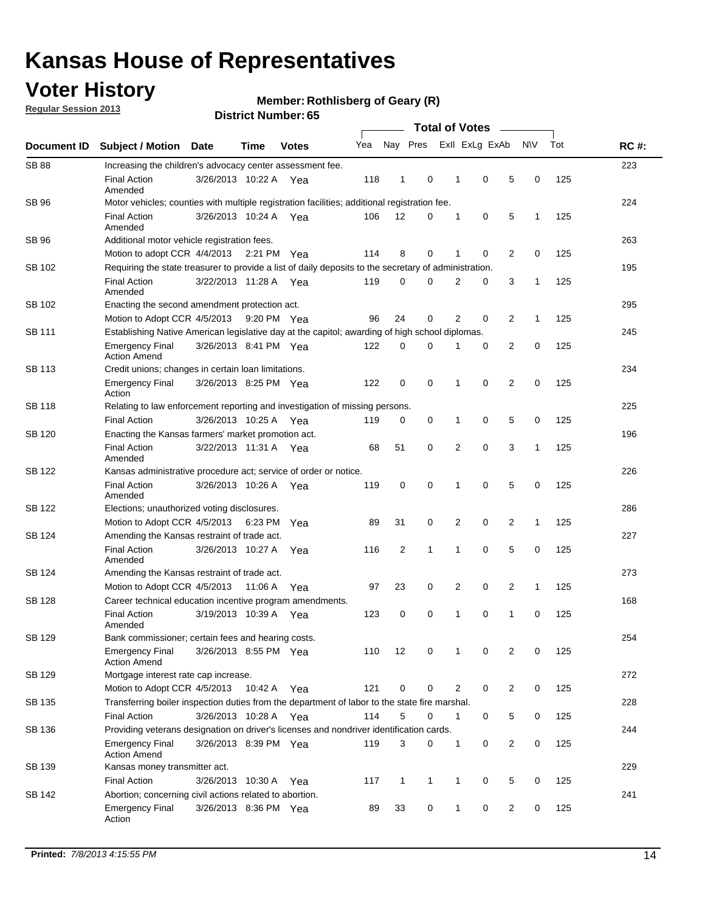## **Voter History**

**Regular Session 2013**

#### **Member: Rothlisberg of Geary (R)**

|                        |                                                                                                       | <b>PISUIVLINUIIIDEL.</b> UJ |             |              |     |                         |              |                       |                |   |                |              |     |             |
|------------------------|-------------------------------------------------------------------------------------------------------|-----------------------------|-------------|--------------|-----|-------------------------|--------------|-----------------------|----------------|---|----------------|--------------|-----|-------------|
| <b>Document ID</b>     | Subject / Motion                                                                                      | Date                        | <b>Time</b> | <b>Votes</b> | Yea | Nay Pres Exll ExLg ExAb |              | <b>Total of Votes</b> |                |   |                | <b>NV</b>    | Tot | <b>RC#:</b> |
| <b>SB 88</b>           | Increasing the children's advocacy center assessment fee.                                             |                             |             |              |     |                         |              |                       |                |   |                |              |     | 223         |
|                        | <b>Final Action</b><br>Amended                                                                        | 3/26/2013 10:22 A           |             | Yea          | 118 | $\mathbf{1}$            | 0            |                       | $\mathbf 1$    | 0 | 5              | 0            | 125 |             |
| SB 96                  | Motor vehicles; counties with multiple registration facilities; additional registration fee.          |                             |             |              |     |                         |              |                       |                |   |                |              |     | 224         |
|                        | <b>Final Action</b><br>Amended                                                                        | 3/26/2013 10:24 A           |             | Yea          | 106 | 12                      | 0            |                       | 1              | 0 | 5              | $\mathbf{1}$ | 125 |             |
| <b>SB 96</b><br>SB 102 | Additional motor vehicle registration fees.                                                           |                             |             |              |     |                         |              |                       |                |   |                |              |     | 263         |
|                        | Motion to adopt CCR $4/4/2013$ 2:21 PM                                                                |                             |             | Yea          | 114 | 8                       | 0            |                       | 1              | 0 | 2              | 0            | 125 |             |
|                        | Requiring the state treasurer to provide a list of daily deposits to the secretary of administration. |                             |             |              |     |                         |              |                       |                |   |                |              |     | 195         |
|                        | <b>Final Action</b><br>Amended                                                                        | 3/22/2013 11:28 A           |             | Yea          | 119 | 0                       | 0            |                       | 2              | 0 | 3              | 1            | 125 |             |
| SB 102                 | Enacting the second amendment protection act.                                                         |                             |             |              |     |                         |              |                       |                |   |                |              |     | 295         |
|                        | Motion to Adopt CCR 4/5/2013                                                                          |                             | 9:20 PM Yea |              | 96  | 24                      | 0            |                       | $\overline{2}$ | 0 | 2              | $\mathbf{1}$ | 125 |             |
| SB 111                 | Establishing Native American legislative day at the capitol; awarding of high school diplomas.        |                             |             |              |     |                         |              |                       |                |   |                |              |     | 245         |
|                        | <b>Emergency Final</b><br><b>Action Amend</b>                                                         | 3/26/2013 8:41 PM Yea       |             |              | 122 | 0                       | $\Omega$     |                       |                | 0 | 2              | 0            | 125 |             |
| <b>SB 113</b>          | Credit unions; changes in certain loan limitations.                                                   |                             |             |              |     |                         |              |                       |                |   |                |              |     | 234         |
|                        | <b>Emergency Final</b><br>Action                                                                      | 3/26/2013 8:25 PM Yea       |             |              | 122 | $\mathbf 0$             | 0            |                       | 1              | 0 | $\overline{2}$ | $\mathbf 0$  | 125 |             |
| <b>SB 118</b>          | Relating to law enforcement reporting and investigation of missing persons.                           |                             |             |              |     |                         |              |                       |                |   |                |              |     | 225         |
|                        | <b>Final Action</b>                                                                                   | 3/26/2013 10:25 A           |             | Yea          | 119 | 0                       | 0            |                       | 1              | 0 | 5              | 0            | 125 |             |
| SB 120                 | Enacting the Kansas farmers' market promotion act.                                                    |                             |             |              |     |                         |              |                       |                |   |                |              |     | 196         |
|                        | <b>Final Action</b><br>Amended                                                                        | 3/22/2013 11:31 A           |             | Yea          | 68  | 51                      | 0            |                       | 2              | 0 | 3              | $\mathbf{1}$ | 125 |             |
| SB 122                 | Kansas administrative procedure act; service of order or notice.                                      |                             |             |              |     |                         |              |                       |                |   |                |              |     | 226         |
|                        | <b>Final Action</b><br>Amended                                                                        | 3/26/2013 10:26 A           |             | Yea          | 119 | 0                       | 0            |                       | 1              | 0 | 5              | 0            | 125 |             |
| SB 122                 | Elections; unauthorized voting disclosures.                                                           |                             |             |              |     |                         |              |                       |                |   |                |              |     | 286         |
|                        | Motion to Adopt CCR 4/5/2013                                                                          |                             | 6:23 PM     | Yea          | 89  | 31                      | 0            |                       | 2              | 0 | $\overline{2}$ | $\mathbf{1}$ | 125 |             |
| SB 124                 | Amending the Kansas restraint of trade act.                                                           |                             |             |              |     |                         |              |                       |                |   |                |              |     | 227         |
|                        | <b>Final Action</b><br>Amended                                                                        | 3/26/2013 10:27 A           |             | Yea          | 116 | 2                       | 1            |                       | $\mathbf 1$    | 0 | 5              | $\mathbf 0$  | 125 |             |
| SB 124                 | Amending the Kansas restraint of trade act.                                                           |                             |             |              |     |                         |              |                       |                |   |                |              |     | 273         |
|                        | Motion to Adopt CCR 4/5/2013                                                                          |                             | 11:06 A     | Yea          | 97  | 23                      | 0            |                       | $\overline{2}$ | 0 | $\overline{2}$ | 1            | 125 |             |
| <b>SB 128</b>          | Career technical education incentive program amendments.                                              |                             |             |              |     |                         |              |                       |                |   |                |              |     | 168         |
|                        | <b>Final Action</b><br>Amended                                                                        | 3/19/2013 10:39 A           |             | Yea          | 123 | 0                       | 0            |                       | 1              | 0 | 1              | 0            | 125 |             |
| SB 129                 | Bank commissioner; certain fees and hearing costs.                                                    |                             |             |              |     |                         |              |                       |                |   |                |              |     | 254         |
|                        | <b>Emergency Final</b><br><b>Action Amend</b>                                                         | 3/26/2013 8:55 PM Yea       |             |              | 110 | 12                      | 0            |                       | 1              | 0 | 2              | 0            | 125 |             |
| SB 129                 | Mortgage interest rate cap increase.                                                                  |                             |             |              |     |                         |              |                       |                |   |                |              |     | 272         |
|                        | Motion to Adopt CCR 4/5/2013 10:42 A Yea                                                              |                             |             |              | 121 | $\mathbf 0$             | 0            |                       | $\overline{2}$ | 0 | $\overline{2}$ | 0            | 125 |             |
| SB 135                 | Transferring boiler inspection duties from the department of labor to the state fire marshal.         |                             |             |              |     |                         |              |                       |                |   |                |              |     | 228         |
|                        | <b>Final Action</b>                                                                                   | 3/26/2013 10:28 A Yea       |             |              | 114 | 5                       | 0            |                       | $\mathbf{1}$   | 0 | 5              | 0            | 125 |             |
| SB 136                 | Providing veterans designation on driver's licenses and nondriver identification cards.               |                             |             |              |     |                         |              |                       |                |   |                |              |     | 244         |
|                        | <b>Emergency Final</b><br><b>Action Amend</b>                                                         | 3/26/2013 8:39 PM Yea       |             |              | 119 | 3                       | 0            |                       | $\mathbf{1}$   | 0 | 2              | 0            | 125 |             |
| SB 139                 | Kansas money transmitter act.                                                                         |                             |             |              |     |                         |              |                       |                |   |                |              |     | 229         |
|                        | <b>Final Action</b>                                                                                   | 3/26/2013 10:30 A           |             | Yea          | 117 | $\mathbf{1}$            | $\mathbf{1}$ |                       | $\mathbf 1$    | 0 | 5              | 0            | 125 |             |
| SB 142                 | Abortion; concerning civil actions related to abortion.                                               |                             |             |              |     |                         |              |                       |                |   |                |              |     | 241         |
|                        | <b>Emergency Final</b><br>Action                                                                      | 3/26/2013 8:36 PM Yea       |             |              | 89  | 33                      | 0            |                       | $\mathbf 1$    | 0 | $\overline{2}$ | 0            | 125 |             |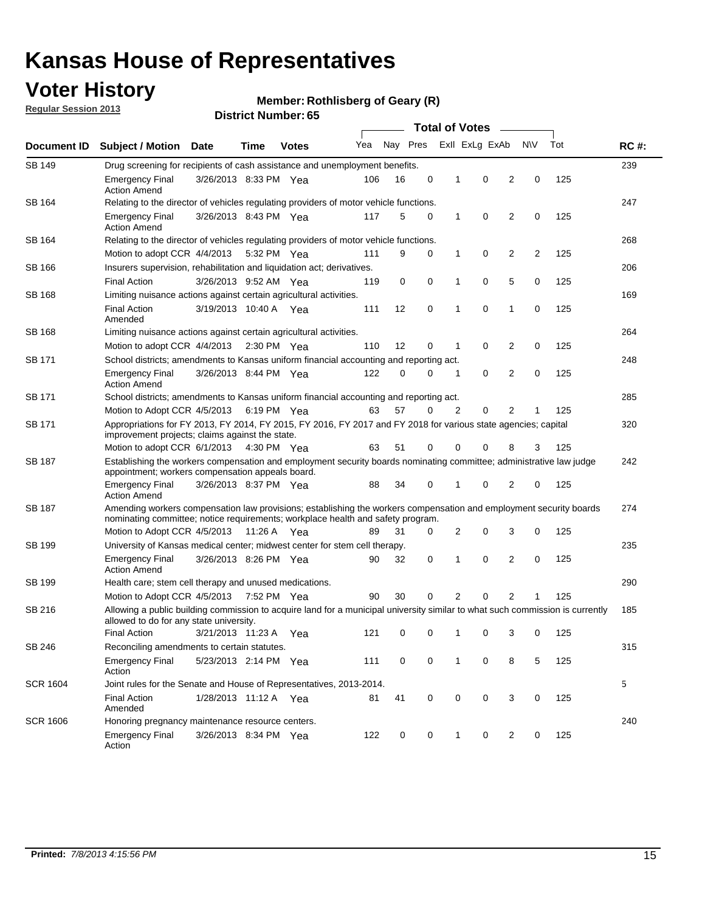## **Voter History**

**Member: Rothlisberg of Geary (R)** 

**Regular Session 2013**

|                 |                                                                                                                                                                                                       |                                                                                    |             |              |     |          |          | <b>Total of Votes</b> |                |                |                |     |             |  |
|-----------------|-------------------------------------------------------------------------------------------------------------------------------------------------------------------------------------------------------|------------------------------------------------------------------------------------|-------------|--------------|-----|----------|----------|-----------------------|----------------|----------------|----------------|-----|-------------|--|
| Document ID     | Subject / Motion Date                                                                                                                                                                                 |                                                                                    | Time        | <b>Votes</b> | Yea | Nay Pres |          |                       | Exll ExLg ExAb |                | <b>NV</b>      | Tot | <b>RC#:</b> |  |
| <b>SB 149</b>   |                                                                                                                                                                                                       | 239<br>Drug screening for recipients of cash assistance and unemployment benefits. |             |              |     |          |          |                       |                |                |                |     |             |  |
|                 | <b>Emergency Final</b><br><b>Action Amend</b>                                                                                                                                                         | 3/26/2013 8:33 PM Yea                                                              |             |              | 106 | 16       | 0        | 1                     | 0              | 2              | 0              | 125 |             |  |
| SB 164          | Relating to the director of vehicles regulating providers of motor vehicle functions.                                                                                                                 |                                                                                    |             |              |     |          |          |                       |                |                |                |     | 247         |  |
|                 | <b>Emergency Final</b><br><b>Action Amend</b>                                                                                                                                                         | 3/26/2013 8:43 PM Yea                                                              |             |              | 117 | 5        | 0        | $\mathbf{1}$          | 0              | 2              | 0              | 125 |             |  |
| SB 164          | Relating to the director of vehicles regulating providers of motor vehicle functions.                                                                                                                 |                                                                                    |             |              |     |          |          |                       |                |                |                |     | 268         |  |
|                 | Motion to adopt CCR 4/4/2013                                                                                                                                                                          |                                                                                    | 5:32 PM Yea |              | 111 | 9        | 0        | $\mathbf{1}$          | 0              | 2              | $\overline{2}$ | 125 |             |  |
| SB 166          | Insurers supervision, rehabilitation and liquidation act; derivatives.                                                                                                                                |                                                                                    |             |              |     |          |          |                       |                |                |                |     | 206         |  |
|                 | <b>Final Action</b>                                                                                                                                                                                   | 3/26/2013 9:52 AM Yea                                                              |             |              | 119 | 0        | 0        | 1                     | 0              | 5              | 0              | 125 |             |  |
| SB 168          | Limiting nuisance actions against certain agricultural activities.                                                                                                                                    |                                                                                    |             |              |     |          |          |                       |                |                |                |     | 169         |  |
|                 | <b>Final Action</b><br>Amended                                                                                                                                                                        | 3/19/2013 10:40 A Yea                                                              |             |              | 111 | 12       | 0        | 1                     | 0              | 1              | 0              | 125 |             |  |
| <b>SB 168</b>   | Limiting nuisance actions against certain agricultural activities.                                                                                                                                    |                                                                                    |             |              |     |          |          |                       |                |                |                |     | 264         |  |
|                 | Motion to adopt CCR 4/4/2013                                                                                                                                                                          |                                                                                    |             | 2:30 PM Yea  | 110 | 12       | 0        | 1                     | 0              | 2              | 0              | 125 |             |  |
| SB 171          | School districts; amendments to Kansas uniform financial accounting and reporting act.                                                                                                                |                                                                                    |             |              |     |          |          |                       |                |                |                |     | 248         |  |
|                 | <b>Emergency Final</b><br><b>Action Amend</b>                                                                                                                                                         | 3/26/2013 8:44 PM Yea                                                              |             |              | 122 | 0        | 0        | 1                     | 0              | 2              | 0              | 125 |             |  |
| SB 171          | School districts; amendments to Kansas uniform financial accounting and reporting act.                                                                                                                |                                                                                    |             |              |     |          |          |                       |                |                |                |     | 285         |  |
|                 | Motion to Adopt CCR 4/5/2013 6:19 PM Yea                                                                                                                                                              |                                                                                    |             |              | 63  | 57       | $\Omega$ | 2                     | 0              | 2              |                | 125 |             |  |
| SB 171          | Appropriations for FY 2013, FY 2014, FY 2015, FY 2016, FY 2017 and FY 2018 for various state agencies; capital<br>improvement projects; claims against the state.                                     |                                                                                    |             |              |     |          |          |                       |                |                |                | 320 |             |  |
|                 | Motion to adopt CCR 6/1/2013 4:30 PM Yea                                                                                                                                                              |                                                                                    |             |              | 63  | 51       | 0        | 0                     | 0              | 8              | 3              | 125 |             |  |
| <b>SB 187</b>   | Establishing the workers compensation and employment security boards nominating committee; administrative law judge<br>appointment; workers compensation appeals board.                               |                                                                                    |             |              |     |          |          |                       |                |                |                |     | 242         |  |
|                 | <b>Emergency Final</b><br><b>Action Amend</b>                                                                                                                                                         | 3/26/2013 8:37 PM Yea                                                              |             |              | 88  | 34       | 0        |                       | 0              | 2              | 0              | 125 |             |  |
| SB 187          | Amending workers compensation law provisions; establishing the workers compensation and employment security boards<br>nominating committee; notice requirements; workplace health and safety program. |                                                                                    |             |              |     |          |          |                       |                |                |                |     | 274         |  |
|                 | Motion to Adopt CCR 4/5/2013 11:26 A Yea                                                                                                                                                              |                                                                                    |             |              | 89  | 31       | 0        | 2                     | 0              | 3              | 0              | 125 |             |  |
| SB 199          | University of Kansas medical center; midwest center for stem cell therapy.                                                                                                                            |                                                                                    |             |              |     |          |          |                       |                |                |                |     | 235         |  |
|                 | Emergency Final<br><b>Action Amend</b>                                                                                                                                                                | 3/26/2013 8:26 PM Yea                                                              |             |              | 90  | 32       | 0        | 1                     | 0              | 2              | 0              | 125 |             |  |
| SB 199          | Health care; stem cell therapy and unused medications.                                                                                                                                                |                                                                                    |             |              |     |          |          |                       |                |                |                |     | 290         |  |
|                 | Motion to Adopt CCR 4/5/2013                                                                                                                                                                          |                                                                                    | 7:52 PM Yea |              | 90  | 30       | 0        | 2                     | 0              | $\overline{2}$ |                | 125 |             |  |
| SB 216          | Allowing a public building commission to acquire land for a municipal university similar to what such commission is currently<br>allowed to do for any state university.                              |                                                                                    |             |              |     |          |          |                       |                |                |                |     | 185         |  |
|                 | <b>Final Action</b>                                                                                                                                                                                   | 3/21/2013 11:23 A Yea                                                              |             |              | 121 | 0        | 0        | 1                     | 0              | 3              | 0              | 125 |             |  |
| <b>SB 246</b>   | Reconciling amendments to certain statutes.                                                                                                                                                           |                                                                                    |             |              |     |          |          |                       |                |                |                |     | 315         |  |
|                 | <b>Emergency Final</b><br>Action                                                                                                                                                                      | 5/23/2013 2:14 PM Yea                                                              |             |              | 111 | 0        | 0        | 1                     | 0              | 8              | 5              | 125 |             |  |
| <b>SCR 1604</b> | Joint rules for the Senate and House of Representatives, 2013-2014.                                                                                                                                   |                                                                                    |             |              |     |          |          |                       |                |                |                |     | 5           |  |
|                 | <b>Final Action</b><br>Amended                                                                                                                                                                        | 1/28/2013 11:12 A Yea                                                              |             |              | 81  | 41       | 0        | 0                     | 0              | 3              | 0              | 125 |             |  |
| <b>SCR 1606</b> | Honoring pregnancy maintenance resource centers.                                                                                                                                                      |                                                                                    |             |              |     |          |          |                       |                |                |                |     | 240         |  |
|                 | <b>Emergency Final</b><br>Action                                                                                                                                                                      | 3/26/2013 8:34 PM Yea                                                              |             |              | 122 | 0        | 0        | 1                     | 0              | 2              | 0              | 125 |             |  |